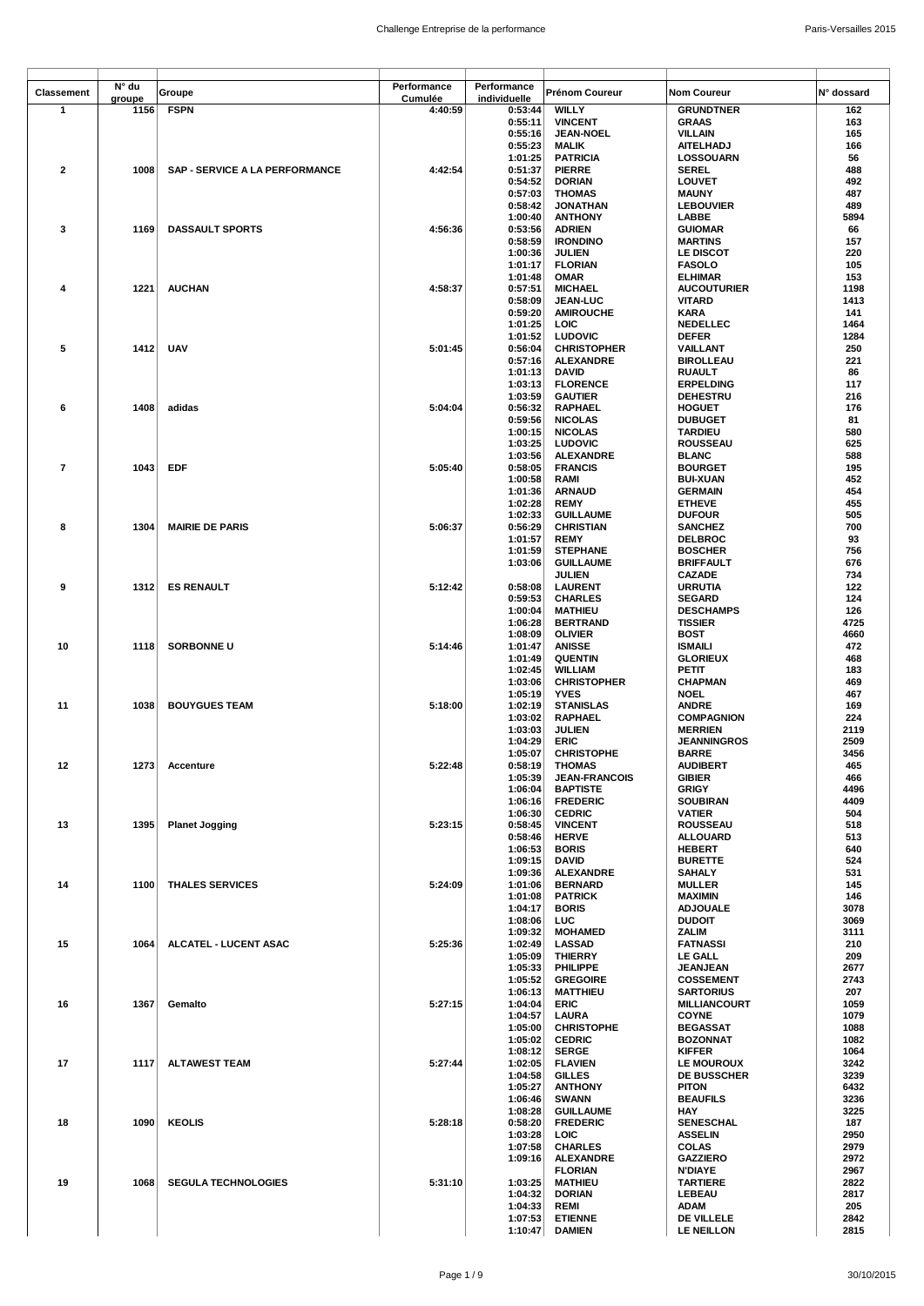|                   | N° du  |                                       | Performance | Performance        |                                     |                                     |              |
|-------------------|--------|---------------------------------------|-------------|--------------------|-------------------------------------|-------------------------------------|--------------|
| <b>Classement</b> | groupe | Groupe                                | Cumulée     | individuelle       | Prénom Coureur                      | <b>Nom Coureur</b>                  | N° dossard   |
| $\mathbf 1$       | 1156   | <b>FSPN</b>                           | 4:40:59     | 0:53:44            | <b>WILLY</b>                        | <b>GRUNDTNER</b>                    | 162          |
|                   |        |                                       |             | 0:55:11            | <b>VINCENT</b>                      | <b>GRAAS</b>                        | 163          |
|                   |        |                                       |             | 0:55:16            | <b>JEAN-NOEL</b>                    | <b>VILLAIN</b>                      | 165          |
|                   |        |                                       |             | 0:55:23            | <b>MALIK</b>                        | <b>AITELHADJ</b>                    | 166          |
|                   |        |                                       |             | 1:01:25            | <b>PATRICIA</b>                     | LOSSOUARN                           | 56           |
| $\overline{2}$    | 1008   | <b>SAP - SERVICE A LA PERFORMANCE</b> | 4:42:54     | 0:51:37            | <b>PIERRE</b>                       | <b>SEREL</b>                        | 488          |
|                   |        |                                       |             | 0:54:52            | <b>DORIAN</b>                       | <b>LOUVET</b>                       | 492          |
|                   |        |                                       |             | 0:57:03            | <b>THOMAS</b>                       | <b>MAUNY</b>                        | 487          |
|                   |        |                                       |             | 0:58:42            | <b>JONATHAN</b>                     | <b>LEBOUVIER</b>                    | 489          |
|                   |        |                                       |             | 1:00:40            | <b>ANTHONY</b>                      | LABBE                               | 5894         |
| 3                 | 1169   | <b>DASSAULT SPORTS</b>                | 4:56:36     | 0:53:56            | <b>ADRIEN</b>                       | <b>GUIOMAR</b>                      | 66           |
|                   |        |                                       |             | 0:58:59            | <b>IRONDINO</b>                     | <b>MARTINS</b>                      | 157          |
|                   |        |                                       |             | 1:00:36            | <b>JULIEN</b>                       | LE DISCOT                           | 220          |
|                   |        |                                       |             | 1:01:17            | <b>FLORIAN</b>                      | <b>FASOLO</b>                       | 105          |
|                   |        |                                       |             | 1:01:48            | <b>OMAR</b>                         | <b>ELHIMAR</b>                      | 153          |
| 4                 | 1221   | <b>AUCHAN</b>                         | 4:58:37     | 0:57:51            | <b>MICHAEL</b>                      | <b>AUCOUTURIER</b>                  | 1198         |
|                   |        |                                       |             | 0:58:09            | <b>JEAN-LUC</b>                     | <b>VITARD</b>                       | 1413         |
|                   |        |                                       |             | 0:59:20            | <b>AMIROUCHE</b>                    | <b>KARA</b>                         | 141          |
|                   |        |                                       |             | 1:01:25            | LOIC                                | <b>NEDELLEC</b>                     | 1464         |
|                   |        |                                       |             | 1:01:52            | <b>LUDOVIC</b>                      | <b>DEFER</b>                        | 1284         |
| 5                 | 1412   | <b>UAV</b>                            | 5:01:45     | 0:56:04            | <b>CHRISTOPHER</b>                  | VAILLANT                            | 250          |
|                   |        |                                       |             | 0:57:16            | <b>ALEXANDRE</b>                    | <b>BIROLLEAU</b>                    | 221          |
|                   |        |                                       |             | 1:01:13            | <b>DAVID</b>                        | <b>RUAULT</b>                       | 86           |
|                   |        |                                       |             | 1:03:13            | <b>FLORENCE</b>                     | <b>ERPELDING</b>                    | 117          |
|                   |        |                                       |             | 1:03:59            | <b>GAUTIER</b>                      | <b>DEHESTRU</b>                     | 216          |
| 6                 | 1408   | adidas                                | 5:04:04     | 0:56:32            | RAPHAEL                             | <b>HOGUET</b>                       | 176          |
|                   |        |                                       |             | 0:59:56            | <b>NICOLAS</b>                      | <b>DUBUGET</b>                      | 81           |
|                   |        |                                       |             | 1:00:15            | <b>NICOLAS</b>                      | <b>TARDIEU</b>                      | 580          |
|                   |        |                                       |             | 1:03:25            | <b>LUDOVIC</b>                      | <b>ROUSSEAU</b>                     | 625          |
|                   |        |                                       |             | 1:03:56            | <b>ALEXANDRE</b>                    | <b>BLANC</b>                        | 588          |
| 7                 | 1043   | EDF                                   | 5:05:40     | 0:58:05            | <b>FRANCIS</b>                      | <b>BOURGET</b>                      | 195          |
|                   |        |                                       |             | 1:00:58            | RAMI                                | <b>BUI-XUAN</b>                     | 452          |
|                   |        |                                       |             | 1:01:36            | <b>ARNAUD</b>                       | <b>GERMAIN</b>                      | 454          |
|                   |        |                                       |             | 1:02:28            | <b>REMY</b>                         | <b>ETHEVE</b>                       | 455          |
|                   |        |                                       |             | 1:02:33            | <b>GUILLAUME</b>                    | <b>DUFOUR</b>                       | 505          |
| 8                 | 1304   | <b>MAIRIE DE PARIS</b>                | 5:06:37     | 0:56:29            | <b>CHRISTIAN</b>                    | <b>SANCHEZ</b>                      | 700          |
|                   |        |                                       |             | 1:01:57            | <b>REMY</b>                         | <b>DELBROC</b>                      | 93           |
|                   |        |                                       |             | 1:01:59            | <b>STEPHANE</b>                     | <b>BOSCHER</b>                      | 756          |
|                   |        |                                       |             | 1:03:06            | <b>GUILLAUME</b>                    | <b>BRIFFAULT</b>                    | 676          |
|                   |        |                                       |             |                    | <b>JULIEN</b>                       | <b>CAZADE</b>                       | 734          |
| 9                 | 1312   | <b>ES RENAULT</b>                     | 5:12:42     | 0:58:08            | <b>LAURENT</b>                      | <b>URRUTIA</b>                      | 122          |
|                   |        |                                       |             | 0:59:53            | <b>CHARLES</b>                      | <b>SEGARD</b>                       | 124          |
|                   |        |                                       |             | 1:00:04            | <b>MATHIEU</b>                      | <b>DESCHAMPS</b>                    | 126          |
|                   |        |                                       |             |                    |                                     |                                     | 4725         |
|                   |        |                                       |             | 1:06:28<br>1:08:09 | <b>BERTRAND</b>                     | <b>TISSIER</b>                      | 4660         |
|                   |        |                                       |             |                    | <b>OLIVIER</b>                      | <b>BOST</b>                         |              |
| 10                | 1118   | <b>SORBONNE U</b>                     | 5:14:46     | 1:01:47            | <b>ANISSE</b>                       | <b>ISMAILI</b>                      | 472          |
|                   |        |                                       |             | 1:01:49            | <b>QUENTIN</b>                      | <b>GLORIEUX</b>                     | 468          |
|                   |        |                                       |             | 1:02:45            | <b>WILLIAM</b>                      | PETIT                               | 183          |
|                   |        |                                       |             | 1:03:06            | <b>CHRISTOPHER</b>                  | <b>CHAPMAN</b>                      | 469          |
|                   |        |                                       |             | 1:05:19            | <b>YVES</b>                         | <b>NOEL</b>                         | 467          |
| 11                | 1038   | <b>BOUYGUES TEAM</b>                  | 5:18:00     | 1:02:19            | <b>STANISLAS</b>                    | <b>ANDRE</b>                        | 169          |
|                   |        |                                       |             | 1:03:02            | <b>RAPHAEL</b>                      | <b>COMPAGNION</b>                   | 224          |
|                   |        |                                       |             | 1:03:03            | <b>JULIEN</b>                       | <b>MERRIEN</b>                      | 2119         |
|                   |        |                                       |             | 1:04:29            | <b>ERIC</b>                         | <b>JEANNINGROS</b>                  | 2509         |
|                   |        |                                       |             | 1:05:07            | <b>CHRISTOPHE</b>                   | <b>BARRE</b>                        | 3456         |
| 12                |        | 1273 Accenture                        | 5:22:48     | 0:58:19            | <b>THOMAS</b>                       | <b>AUDIBERT</b>                     | 465          |
|                   |        |                                       |             | 1:05:39            | <b>JEAN-FRANCOIS</b>                | <b>GIBIER</b>                       | 466          |
|                   |        |                                       |             | 1:06:04            | <b>BAPTISTE</b>                     | <b>GRIGY</b>                        | 4496         |
|                   |        |                                       |             | 1:06:16            | <b>FREDERIC</b>                     | <b>SOUBIRAN</b>                     | 4409         |
|                   |        |                                       |             | 1:06:30            | <b>CEDRIC</b>                       | <b>VATIER</b>                       | 504          |
| 13                | 1395   | <b>Planet Jogging</b>                 | 5:23:15     | 0:58:45            | <b>VINCENT</b>                      | ROUSSEAU                            | 518          |
|                   |        |                                       |             | 0:58:46            | <b>HERVE</b>                        | <b>ALLOUARD</b>                     | 513          |
|                   |        |                                       |             | 1:06:53            | <b>BORIS</b>                        | <b>HEBERT</b>                       | 640          |
|                   |        |                                       |             | 1:09:15            | DAVID                               | <b>BURETTE</b>                      | 524          |
|                   |        |                                       |             | 1:09:36            | <b>ALEXANDRE</b>                    | <b>SAHALY</b>                       | 531          |
| 14                | 1100   | <b>THALES SERVICES</b>                | 5:24:09     | 1:01:06            | <b>BERNARD</b>                      | <b>MULLER</b>                       | 145          |
|                   |        |                                       |             | 1:01:08            | <b>PATRICK</b>                      | <b>MAXIMIN</b>                      | 146          |
|                   |        |                                       |             | 1:04:17            | <b>BORIS</b><br><b>LUC</b>          | <b>ADJOUALE</b><br><b>DUDOIT</b>    | 3078<br>3069 |
|                   |        |                                       |             | 1:08:06            |                                     |                                     |              |
|                   |        |                                       |             | 1:09:32            | <b>MOHAMED</b>                      | <b>ZALIM</b>                        | 3111         |
| 15                | 1064   | ALCATEL - LUCENT ASAC                 | 5:25:36     | 1:02:49            | <b>LASSAD</b>                       | <b>FATNASSI</b>                     | 210          |
|                   |        |                                       |             | 1:05:09            | <b>THIERRY</b>                      | LE GALL                             | 209          |
|                   |        |                                       |             | 1:05:33            | PHILIPPE                            | <b>JEANJEAN</b>                     | 2677         |
|                   |        |                                       |             | 1:05:52            | <b>GREGOIRE</b>                     | <b>COSSEMENT</b>                    | 2743         |
|                   | 1367   |                                       | 5:27:15     | 1:06:13<br>1:04:04 | <b>MATTHIEU</b><br><b>ERIC</b>      | <b>SARTORIUS</b>                    | 207<br>1059  |
| 16                |        | Gemalto                               |             |                    |                                     | <b>MILLIANCOURT</b><br><b>COYNE</b> | 1079         |
|                   |        |                                       |             | 1:04:57<br>1:05:00 | LAURA<br><b>CHRISTOPHE</b>          | <b>BEGASSAT</b>                     | 1088         |
|                   |        |                                       |             |                    |                                     |                                     |              |
|                   |        |                                       |             | 1:05:02<br>1:08:12 | <b>CEDRIC</b><br><b>SERGE</b>       | <b>BOZONNAT</b><br><b>KIFFER</b>    | 1082<br>1064 |
| 17                | 1117   | ALTAWEST TEAM                         | 5:27:44     | 1:02:05            | <b>FLAVIEN</b>                      | <b>LE MOUROUX</b>                   | 3242         |
|                   |        |                                       |             | 1:04:58            | <b>GILLES</b>                       | <b>DE BUSSCHER</b>                  | 3239         |
|                   |        |                                       |             | 1:05:27            | <b>ANTHONY</b>                      | <b>PITON</b>                        | 6432         |
|                   |        |                                       |             | 1:06:46            | <b>SWANN</b>                        | <b>BEAUFILS</b>                     | 3236         |
|                   |        |                                       |             |                    |                                     | HAY                                 | 3225         |
|                   | 1090   | <b>KEOLIS</b>                         | 5:28:18     | 1:08:28<br>0:58:20 | <b>GUILLAUME</b><br><b>FREDERIC</b> | <b>SENESCHAL</b>                    | 187          |
| 18                |        |                                       |             | 1:03:28            | LOIC                                | <b>ASSELIN</b>                      | 2950         |
|                   |        |                                       |             | 1:07:58            | <b>CHARLES</b>                      | <b>COLAS</b>                        | 2979         |
|                   |        |                                       |             | 1:09:16            |                                     | <b>GAZZIERO</b>                     | 2972         |
|                   |        |                                       |             |                    | <b>ALEXANDRE</b><br><b>FLORIAN</b>  | <b>N'DIAYE</b>                      | 2967         |
| 19                | 1068   | <b>SEGULA TECHNOLOGIES</b>            | 5:31:10     | 1:03:25            | <b>MATHIEU</b>                      | <b>TARTIERE</b>                     | 2822         |
|                   |        |                                       |             | 1:04:32            | <b>DORIAN</b>                       | LEBEAU                              | 2817         |
|                   |        |                                       |             |                    |                                     |                                     |              |
|                   |        |                                       |             | 1:04:33            | <b>REMI</b>                         | <b>ADAM</b>                         | 205          |
|                   |        |                                       |             | 1:07:53            | <b>ETIENNE</b>                      | DE VILLELE                          | 2842         |
|                   |        |                                       |             | 1:10:47            | <b>DAMIEN</b>                       | <b>LE NEILLON</b>                   | 2815         |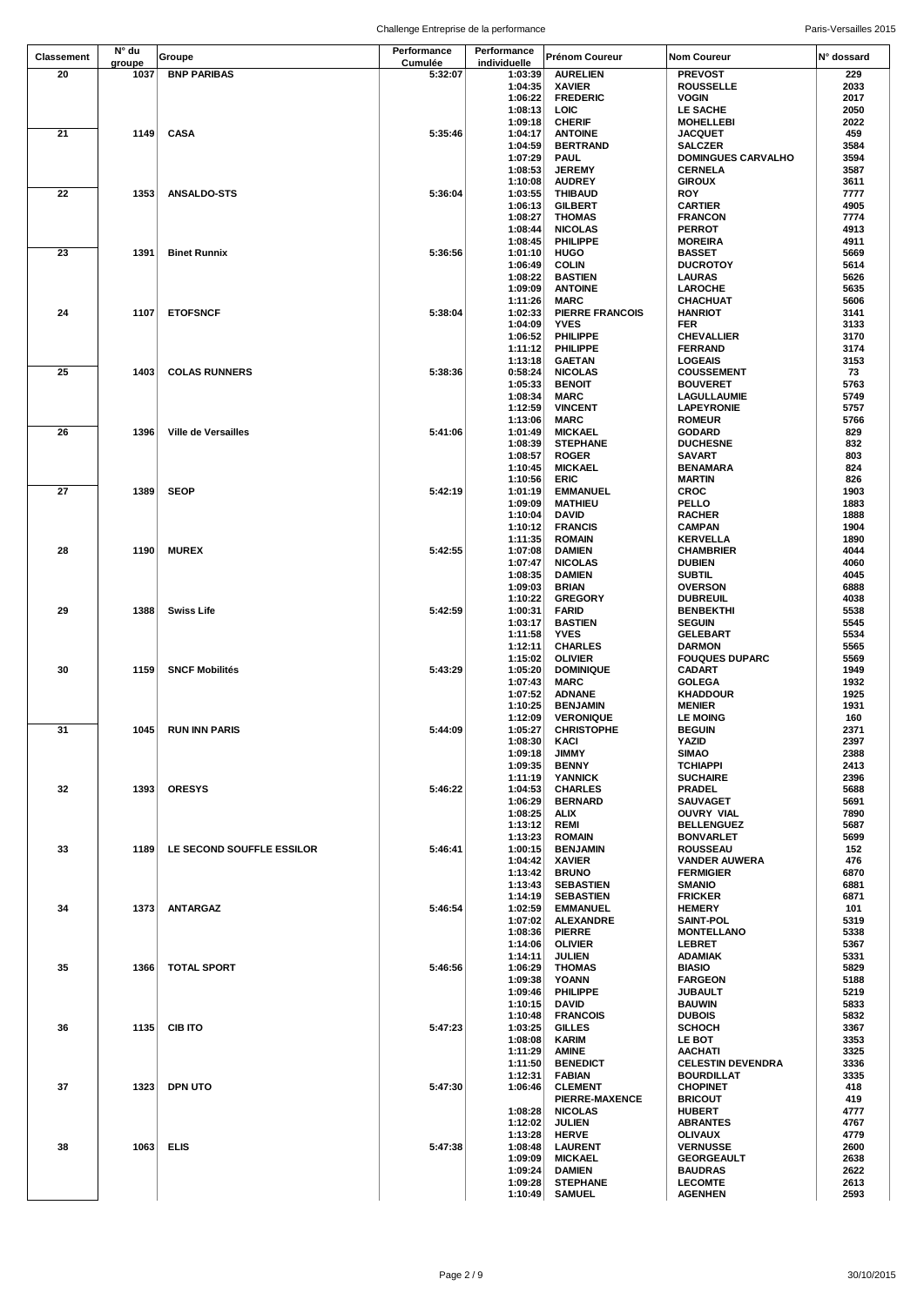|                   | N° du  |                            | Performance | Performance        |                                 |                                          |              |
|-------------------|--------|----------------------------|-------------|--------------------|---------------------------------|------------------------------------------|--------------|
| <b>Classement</b> | groupe | Groupe                     | Cumulée     | individuelle       | Prénom Coureur                  | <b>Nom Coureur</b>                       | N° dossard   |
| 20                | 1037   | <b>BNP PARIBAS</b>         | 5:32:07     | 1:03:39            | <b>AURELIEN</b>                 | <b>PREVOST</b>                           | 229          |
|                   |        |                            |             | 1:04:35            | <b>XAVIER</b>                   | <b>ROUSSELLE</b>                         | 2033         |
|                   |        |                            |             | 1:06:22            | <b>FREDERIC</b>                 | <b>VOGIN</b>                             | 2017         |
|                   |        |                            |             | 1:08:13            | LOIC                            | LE SACHE                                 | 2050         |
|                   |        |                            |             | 1:09:18            | <b>CHERIF</b>                   | <b>MOHELLEBI</b>                         | 2022         |
| 21                | 1149   | <b>CASA</b>                | 5:35:46     | 1:04:17            | <b>ANTOINE</b>                  | <b>JACQUET</b>                           | 459          |
|                   |        |                            |             | 1:04:59            | <b>BERTRAND</b>                 | <b>SALCZER</b>                           | 3584         |
|                   |        |                            |             | 1:07:29            | <b>PAUL</b>                     | <b>DOMINGUES CARVALHO</b>                | 3594         |
|                   |        |                            |             | 1:08:53<br>1:10:08 | <b>JEREMY</b><br><b>AUDREY</b>  | <b>CERNELA</b><br><b>GIROUX</b>          | 3587<br>3611 |
| 22                | 1353   | <b>ANSALDO-STS</b>         | 5:36:04     | 1:03:55            | <b>THIBAUD</b>                  | <b>ROY</b>                               | 7777         |
|                   |        |                            |             | 1:06:13            | <b>GILBERT</b>                  | <b>CARTIER</b>                           | 4905         |
|                   |        |                            |             | 1:08:27            | <b>THOMAS</b>                   | <b>FRANCON</b>                           | 7774         |
|                   |        |                            |             | 1:08:44            | <b>NICOLAS</b>                  | <b>PERROT</b>                            | 4913         |
|                   |        |                            |             | 1:08:45            | PHILIPPE                        | <b>MOREIRA</b>                           | 4911         |
| 23                | 1391   | <b>Binet Runnix</b>        | 5:36:56     | 1:01:10            | HUGO                            | <b>BASSET</b>                            | 5669         |
|                   |        |                            |             | 1:06:49            | <b>COLIN</b>                    | <b>DUCROTOY</b>                          | 5614         |
|                   |        |                            |             | 1:08:22            | <b>BASTIEN</b>                  | <b>LAURAS</b>                            | 5626         |
|                   |        |                            |             | 1:09:09            | <b>ANTOINE</b>                  | <b>LAROCHE</b>                           | 5635<br>5606 |
| 24                | 1107   | <b>ETOFSNCF</b>            | 5:38:04     | 1:11:26<br>1:02:33 | MARC<br><b>PIERRE FRANCOIS</b>  | CHACHUAT<br><b>HANRIOT</b>               | 3141         |
|                   |        |                            |             | 1:04:09            | <b>YVES</b>                     | FER                                      | 3133         |
|                   |        |                            |             | 1:06:52            | PHILIPPE                        | <b>CHEVALLIER</b>                        | 3170         |
|                   |        |                            |             | 1:11:12            | PHILIPPE                        | <b>FERRAND</b>                           | 3174         |
|                   |        |                            |             | 1:13:18            | GAETAN                          | <b>LOGEAIS</b>                           | 3153         |
| 25                | 1403   | <b>COLAS RUNNERS</b>       | 5:38:36     | 0:58:24            | <b>NICOLAS</b>                  | <b>COUSSEMENT</b>                        | 73           |
|                   |        |                            |             | 1:05:33            | <b>BENOIT</b>                   | <b>BOUVERET</b>                          | 5763         |
|                   |        |                            |             | 1:08:34            | MARC                            | <b>LAGULLAUMIE</b>                       | 5749         |
|                   |        |                            |             | 1:12:59            | <b>VINCENT</b>                  | <b>LAPEYRONIE</b>                        | 5757         |
|                   |        |                            |             | 1:13:06            | <b>MARC</b>                     | <b>ROMEUR</b>                            | 5766         |
| 26                | 1396   | <b>Ville de Versailles</b> | 5:41:06     | 1:01:49            | <b>MICKAEL</b>                  | <b>GODARD</b>                            | 829<br>832   |
|                   |        |                            |             | 1:08:39<br>1:08:57 | <b>STEPHANE</b><br><b>ROGER</b> | <b>DUCHESNE</b><br><b>SAVART</b>         | 803          |
|                   |        |                            |             | 1:10:45            | <b>MICKAEL</b>                  | <b>BENAMARA</b>                          | 824          |
|                   |        |                            |             | 1:10:56            | ERIC                            | <b>MARTIN</b>                            | 826          |
| 27                | 1389   | <b>SEOP</b>                | 5:42:19     | 1:01:19            | <b>EMMANUEL</b>                 | <b>CROC</b>                              | 1903         |
|                   |        |                            |             | 1:09:09            | <b>MATHIEU</b>                  | PELLO                                    | 1883         |
|                   |        |                            |             | 1:10:04            | DAVID                           | <b>RACHER</b>                            | 1888         |
|                   |        |                            |             | 1:10:12            | <b>FRANCIS</b>                  | <b>CAMPAN</b>                            | 1904         |
|                   |        |                            |             | 1:11:35            | <b>ROMAIN</b>                   | <b>KERVELLA</b>                          | 1890         |
| 28                | 1190   | <b>MUREX</b>               | 5:42:55     | 1:07:08            | DAMIEN                          | <b>CHAMBRIER</b>                         | 4044         |
|                   |        |                            |             | 1:07:47            | <b>NICOLAS</b>                  | <b>DUBIEN</b>                            | 4060         |
|                   |        |                            |             | 1:08:35            | <b>DAMIEN</b>                   | <b>SUBTIL</b>                            | 4045         |
|                   |        |                            |             | 1:09:03            | BRIAN                           | <b>OVERSON</b>                           | 6888         |
| 29                | 1388   | Swiss Life                 | 5:42:59     | 1:10:22<br>1:00:31 | <b>GREGORY</b><br>FARID         | <b>DUBREUIL</b>                          | 4038<br>5538 |
|                   |        |                            |             | 1:03:17            | <b>BASTIEN</b>                  | <b>BENBEKTHI</b><br><b>SEGUIN</b>        | 5545         |
|                   |        |                            |             | 1:11:58            | <b>YVES</b>                     | <b>GELEBART</b>                          | 5534         |
|                   |        |                            |             | 1:12:11            | <b>CHARLES</b>                  | <b>DARMON</b>                            | 5565         |
|                   |        |                            |             | 1:15:02            | <b>OLIVIER</b>                  | <b>FOUQUES DUPARC</b>                    | 5569         |
| 30                | 1159   | <b>SNCF Mobilités</b>      | 5:43:29     | 1:05:20            | <b>DOMINIQUE</b>                | CADART                                   | 1949         |
|                   |        |                            |             | 1:07:43            | <b>MARC</b>                     | <b>GOLEGA</b>                            | 1932         |
|                   |        |                            |             | 1:07:52            | <b>ADNANE</b>                   | <b>KHADDOUR</b>                          | 1925         |
|                   |        |                            |             | 1:10:25            | <b>BENJAMIN</b>                 | <b>MENIER</b>                            | 1931         |
|                   |        |                            |             | 1:12:09            | <b>VERONIQUE</b>                | <b>LE MOING</b>                          | 160          |
| 31                | 1045   | RUN INN PARIS              | 5:44:09     | 1:05:27            | <b>CHRISTOPHE</b>               | <b>BEGUIN</b>                            | 2371         |
|                   |        |                            |             | 1:08:30<br>1:09:18 | KACI<br>JIMMY                   | YAZID<br><b>SIMAO</b>                    | 2397<br>2388 |
|                   |        |                            |             | 1:09:35            | <b>BENNY</b>                    | <b>TCHIAPPI</b>                          | 2413         |
|                   |        |                            |             | 1:11:19            | <b>YANNICK</b>                  | <b>SUCHAIRE</b>                          | 2396         |
| 32                | 1393   | <b>ORESYS</b>              | 5:46:22     | 1:04:53            | <b>CHARLES</b>                  | <b>PRADEL</b>                            | 5688         |
|                   |        |                            |             | 1:06:29            | <b>BERNARD</b>                  | <b>SAUVAGET</b>                          | 5691         |
|                   |        |                            |             | 1:08:25            | <b>ALIX</b>                     | <b>OUVRY VIAL</b>                        | 7890         |
|                   |        |                            |             | 1:13:12            | REMI                            | <b>BELLENGUEZ</b>                        | 5687         |
|                   |        |                            |             | 1:13:23            | <b>ROMAIN</b>                   | <b>BONVARLET</b>                         | 5699         |
| 33                | 1189   | LE SECOND SOUFFLE ESSILOR  | 5:46:41     | 1:00:15            | <b>BENJAMIN</b>                 | <b>ROUSSEAU</b>                          | 152          |
|                   |        |                            |             | 1:04:42<br>1:13:42 | <b>XAVIER</b><br><b>BRUNO</b>   | <b>VANDER AUWERA</b><br><b>FERMIGIER</b> | 476<br>6870  |
|                   |        |                            |             | 1:13:43            | <b>SEBASTIEN</b>                | <b>SMANIO</b>                            | 6881         |
|                   |        |                            |             | 1:14:19            | <b>SEBASTIEN</b>                | <b>FRICKER</b>                           | 6871         |
| 34                | 1373   | <b>ANTARGAZ</b>            | 5:46:54     | 1:02:59            | <b>EMMANUEL</b>                 | <b>HEMERY</b>                            | 101          |
|                   |        |                            |             | 1:07:02            | <b>ALEXANDRE</b>                | <b>SAINT-POL</b>                         | 5319         |
|                   |        |                            |             | 1:08:36            | <b>PIERRE</b>                   | <b>MONTELLANO</b>                        | 5338         |
|                   |        |                            |             | 1:14:06            | <b>OLIVIER</b>                  | <b>LEBRET</b>                            | 5367         |
|                   |        |                            |             | 1:14:11            | <b>JULIEN</b>                   | <b>ADAMIAK</b>                           | 5331         |
| 35                | 1366   | <b>TOTAL SPORT</b>         | 5:46:56     | 1:06:29            | <b>THOMAS</b>                   | <b>BIASIO</b>                            | 5829         |
|                   |        |                            |             | 1:09:38            | YOANN                           | <b>FARGEON</b>                           | 5188         |
|                   |        |                            |             | 1:09:46<br>1:10:15 | <b>PHILIPPE</b><br><b>DAVID</b> | <b>JUBAULT</b><br><b>BAUWIN</b>          | 5219<br>5833 |
|                   |        |                            |             | 1:10:48            | <b>FRANCOIS</b>                 | <b>DUBOIS</b>                            | 5832         |
| 36                | 1135   | <b>CIB ITO</b>             | 5:47:23     | 1:03:25            | <b>GILLES</b>                   | <b>SCHOCH</b>                            | 3367         |
|                   |        |                            |             | 1:08:08            | <b>KARIM</b>                    | <b>LE BOT</b>                            | 3353         |
|                   |        |                            |             | 1:11:29            | AMINE                           | <b>AACHATI</b>                           | 3325         |
|                   |        |                            |             | 1:11:50            | <b>BENEDICT</b>                 | <b>CELESTIN DEVENDRA</b>                 | 3336         |
|                   |        |                            |             | 1:12:31            | <b>FABIAN</b>                   | <b>BOURDILLAT</b>                        | 3335         |
| 37                | 1323   | <b>DPN UTO</b>             | 5:47:30     | 1:06:46            | <b>CLEMENT</b>                  | <b>CHOPINET</b>                          | 418          |
|                   |        |                            |             |                    | PIERRE-MAXENCE                  | <b>BRICOUT</b>                           | 419          |
|                   |        |                            |             | 1:08:28            | <b>NICOLAS</b>                  | <b>HUBERT</b>                            | 4777<br>4767 |
|                   |        |                            |             | 1:12:02<br>1:13:28 | <b>JULIEN</b><br><b>HERVE</b>   | <b>ABRANTES</b><br><b>OLIVAUX</b>        | 4779         |
| 38                | 1063   | ELIS                       | 5:47:38     | 1:08:48            | <b>LAURENT</b>                  | <b>VERNUSSE</b>                          | 2600         |
|                   |        |                            |             | 1:09:09            | <b>MICKAEL</b>                  | <b>GEORGEAULT</b>                        | 2638         |
|                   |        |                            |             | 1:09:24            | DAMIEN                          | <b>BAUDRAS</b>                           | 2622         |
|                   |        |                            |             | 1:09:28            | <b>STEPHANE</b>                 | <b>LECOMTE</b>                           | 2613         |
|                   |        |                            |             | 1:10:49            | <b>SAMUEL</b>                   | <b>AGENHEN</b>                           | 2593         |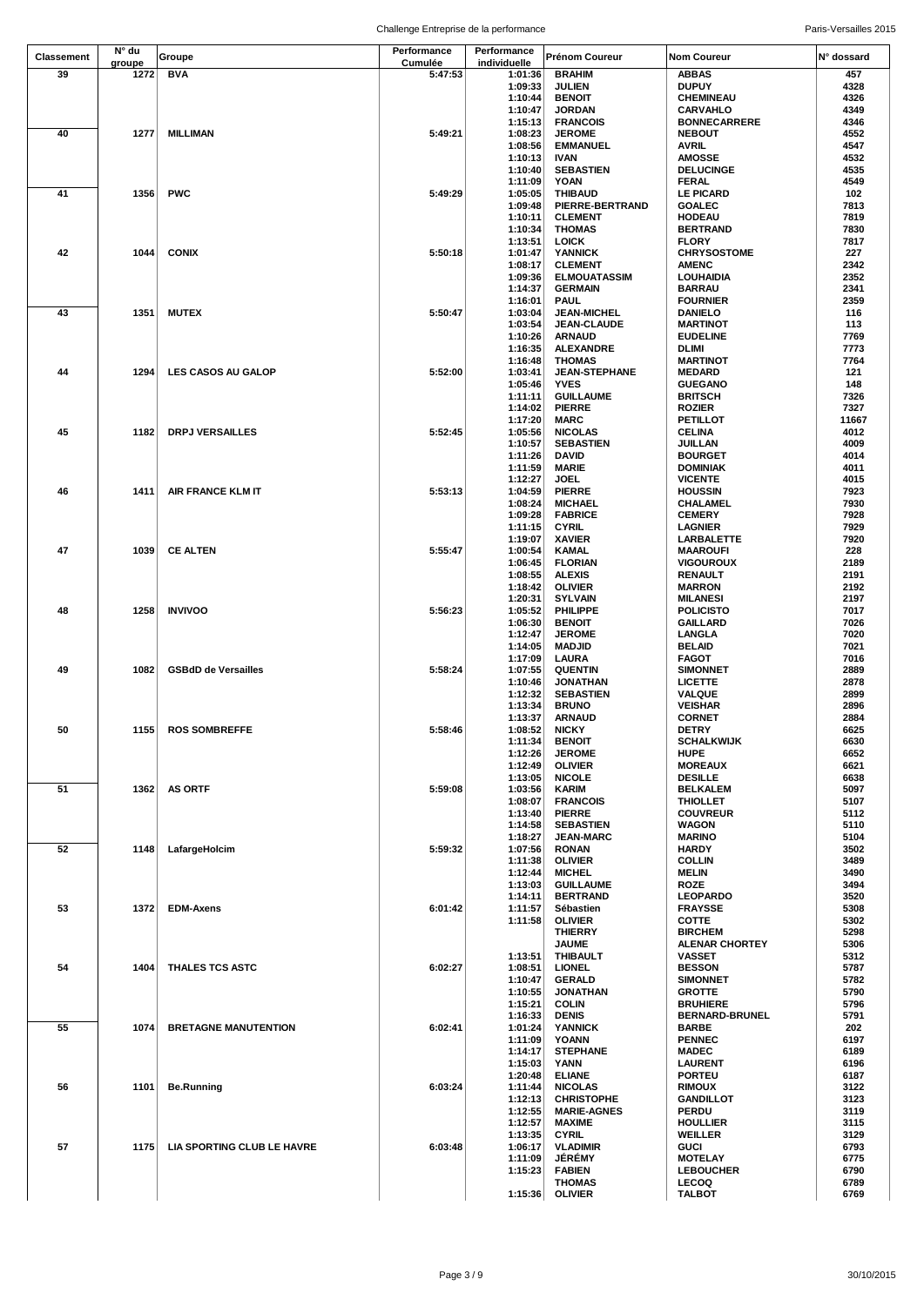| <b>Classement</b> | N° du  | Groupe                      | Performance | Performance  | Prénom Coureur       | Nom Coureur           | N° dossard |
|-------------------|--------|-----------------------------|-------------|--------------|----------------------|-----------------------|------------|
|                   | groupe |                             | Cumulée     | individuelle |                      |                       |            |
| 39                | 1272   | <b>BVA</b>                  | 5:47:53     | 1:01:36      | <b>BRAHIM</b>        | ABBAS                 | 457        |
|                   |        |                             |             | 1:09:33      | <b>JULIEN</b>        | <b>DUPUY</b>          | 4328       |
|                   |        |                             |             | 1:10:44      | <b>BENOIT</b>        | <b>CHEMINEAU</b>      | 4326       |
|                   |        |                             |             | 1:10:47      | <b>JORDAN</b>        | <b>CARVAHLO</b>       | 4349       |
|                   |        |                             |             | 1:15:13      | <b>FRANCOIS</b>      | <b>BONNECARRERE</b>   | 4346       |
| 40                | 1277   | <b>MILLIMAN</b>             | 5:49:21     | 1:08:23      | <b>JEROME</b>        | <b>NEBOUT</b>         | 4552       |
|                   |        |                             |             | 1:08:56      | <b>EMMANUEL</b>      | AVRIL                 | 4547       |
|                   |        |                             |             | 1:10:13      | <b>IVAN</b>          | <b>AMOSSE</b>         | 4532       |
|                   |        |                             |             | 1:10:40      | <b>SEBASTIEN</b>     | <b>DELUCINGE</b>      | 4535       |
|                   |        |                             |             |              |                      |                       |            |
|                   |        |                             |             | 1:11:09      | <b>YOAN</b>          | <b>FERAL</b>          | 4549       |
| 41                | 1356   | <b>PWC</b>                  | 5:49:29     | 1:05:05      | <b>THIBAUD</b>       | <b>LE PICARD</b>      | 102        |
|                   |        |                             |             | 1:09:48      | PIERRE-BERTRAND      | <b>GOALEC</b>         | 7813       |
|                   |        |                             |             | 1:10:11      | <b>CLEMENT</b>       | <b>HODEAU</b>         | 7819       |
|                   |        |                             |             | 1:10:34      | <b>THOMAS</b>        | <b>BERTRAND</b>       | 7830       |
|                   |        |                             |             | 1:13:51      | <b>LOICK</b>         | <b>FLORY</b>          | 7817       |
| 42                | 1044   | <b>CONIX</b>                | 5:50:18     | 1:01:47      | <b>YANNICK</b>       | <b>CHRYSOSTOME</b>    | 227        |
|                   |        |                             |             | 1:08:17      | <b>CLEMENT</b>       | <b>AMENC</b>          | 2342       |
|                   |        |                             |             | 1:09:36      | <b>ELMOUATASSIM</b>  | <b>LOUHAIDIA</b>      | 2352       |
|                   |        |                             |             | 1:14:37      | <b>GERMAIN</b>       | <b>BARRAU</b>         | 2341       |
|                   |        |                             |             | 1:16:01      | <b>PAUL</b>          | <b>FOURNIER</b>       | 2359       |
| 43                | 1351   | <b>MUTEX</b>                | 5:50:47     | 1:03:04      | <b>JEAN-MICHEL</b>   | <b>DANIELO</b>        | 116        |
|                   |        |                             |             | 1:03:54      | JEAN-CLAUDE          | <b>MARTINOT</b>       | 113        |
|                   |        |                             |             |              |                      |                       | 7769       |
|                   |        |                             |             | 1:10:26      | <b>ARNAUD</b>        | <b>EUDELINE</b>       |            |
|                   |        |                             |             | 1:16:35      | <b>ALEXANDRE</b>     | DLIMI                 | 7773       |
|                   |        |                             |             | 1:16:48      | <b>THOMAS</b>        | <b>MARTINOT</b>       | 7764       |
| 44                | 1294   | <b>LES CASOS AU GALOP</b>   | 5:52:00     | 1:03:41      | <b>JEAN-STEPHANE</b> | <b>MEDARD</b>         | 121        |
|                   |        |                             |             | 1:05:46      | <b>YVES</b>          | <b>GUEGANO</b>        | 148        |
|                   |        |                             |             | 1:11:11      | <b>GUILLAUME</b>     | <b>BRITSCH</b>        | 7326       |
|                   |        |                             |             | 1:14:02      | <b>PIERRE</b>        | <b>ROZIER</b>         | 7327       |
|                   |        |                             |             | 1:17:20      | <b>MARC</b>          | <b>PETILLOT</b>       | 11667      |
| 45                | 1182   | <b>DRPJ VERSAILLES</b>      | 5:52:45     | 1:05:56      | <b>NICOLAS</b>       | <b>CELINA</b>         | 4012       |
|                   |        |                             |             | 1:10:57      | <b>SEBASTIEN</b>     | JUILLAN               | 4009       |
|                   |        |                             |             | 1:11:26      | <b>DAVID</b>         | <b>BOURGET</b>        | 4014       |
|                   |        |                             |             | 1:11:59      | <b>MARIE</b>         | <b>DOMINIAK</b>       | 4011       |
|                   |        |                             |             | 1:12:27      | <b>JOEL</b>          | <b>VICENTE</b>        | 4015       |
|                   |        |                             |             |              |                      |                       |            |
| 46                | 1411   | AIR FRANCE KLM IT           | 5:53:13     | 1:04:59      | <b>PIERRE</b>        | <b>HOUSSIN</b>        | 7923       |
|                   |        |                             |             | 1:08:24      | <b>MICHAEL</b>       | CHALAMEL              | 7930       |
|                   |        |                             |             | 1:09:28      | <b>FABRICE</b>       | <b>CEMERY</b>         | 7928       |
|                   |        |                             |             | 1:11:15      | <b>CYRIL</b>         | <b>LAGNIER</b>        | 7929       |
|                   |        |                             |             | 1:19:07      | <b>XAVIER</b>        | LARBALETTE            | 7920       |
| 47                | 1039   | <b>CE ALTEN</b>             | 5:55:47     | 1:00:54      | KAMAL                | <b>MAAROUFI</b>       | 228        |
|                   |        |                             |             | 1:06:45      | <b>FLORIAN</b>       | <b>VIGOUROUX</b>      | 2189       |
|                   |        |                             |             | 1:08:55      | <b>ALEXIS</b>        | RENAULT               | 2191       |
|                   |        |                             |             | 1:18:42      | <b>OLIVIER</b>       | <b>MARRON</b>         | 2192       |
|                   |        |                             |             | 1:20:31      | <b>SYLVAIN</b>       | <b>MILANESI</b>       | 2197       |
|                   |        |                             |             |              |                      |                       |            |
| 48                | 1258   | <b>INVIVOO</b>              | 5:56:23     | 1:05:52      | PHILIPPE             | <b>POLICISTO</b>      | 7017       |
|                   |        |                             |             | 1:06:30      | <b>BENOIT</b>        | <b>GAILLARD</b>       | 7026       |
|                   |        |                             |             | 1:12:47      | <b>JEROME</b>        | LANGLA                | 7020       |
|                   |        |                             |             | 1:14:05      | <b>MADJID</b>        | <b>BELAID</b>         | 7021       |
|                   |        |                             |             | 1:17:09      | LAURA                | <b>FAGOT</b>          | 7016       |
| 49                | 1082   | <b>GSBdD de Versailles</b>  | 5:58:24     | 1:07:55      | <b>QUENTIN</b>       | <b>SIMONNET</b>       | 2889       |
|                   |        |                             |             | 1:10:46      | <b>JONATHAN</b>      | <b>LICETTE</b>        | 2878       |
|                   |        |                             |             | 1:12:32      | <b>SEBASTIEN</b>     | VALQUE                | 2899       |
|                   |        |                             |             | 1:13:34      | <b>BRUNO</b>         | <b>VEISHAR</b>        | 2896       |
|                   |        |                             |             | 1:13:37      | <b>ARNAUD</b>        | <b>CORNET</b>         | 2884       |
| 50                |        | 1155 ROS SOMBREFFE          | 5:58:46     | 1:08:52      | <b>NICKY</b>         | <b>DETRY</b>          | 6625       |
|                   |        |                             |             |              |                      |                       |            |
|                   |        |                             |             | 1:11:34      | <b>BENOIT</b>        | <b>SCHALKWIJK</b>     | 6630       |
|                   |        |                             |             | 1:12:26      | <b>JEROME</b>        | <b>HUPE</b>           | 6652       |
|                   |        |                             |             | 1:12:49      | <b>OLIVIER</b>       | <b>MOREAUX</b>        | 6621       |
|                   |        |                             |             | 1:13:05      | <b>NICOLE</b>        | <b>DESILLE</b>        | 6638       |
| 51                | 1362   | <b>AS ORTF</b>              | 5:59:08     | 1:03:56      | <b>KARIM</b>         | <b>BELKALEM</b>       | 5097       |
|                   |        |                             |             | 1:08:07      | <b>FRANCOIS</b>      | <b>THIOLLET</b>       | 5107       |
|                   |        |                             |             | 1:13:40      | <b>PIERRE</b>        | <b>COUVREUR</b>       | 5112       |
|                   |        |                             |             | 1:14:58      | <b>SEBASTIEN</b>     | WAGON                 | 5110       |
|                   |        |                             |             | 1:18:27      | <b>JEAN-MARC</b>     | <b>MARINO</b>         | 5104       |
| 52                | 1148   | LafargeHolcim               | 5:59:32     | 1:07:56      | <b>RONAN</b>         | <b>HARDY</b>          | 3502       |
|                   |        |                             |             | 1:11:38      | <b>OLIVIER</b>       | <b>COLLIN</b>         | 3489       |
|                   |        |                             |             | 1:12:44      | <b>MICHEL</b>        | <b>MELIN</b>          | 3490       |
|                   |        |                             |             | 1:13:03      | <b>GUILLAUME</b>     | <b>ROZE</b>           | 3494       |
|                   |        |                             |             | 1:14:11      | <b>BERTRAND</b>      | <b>LEOPARDO</b>       | 3520       |
| 53                | 1372   | <b>EDM-Axens</b>            | 6:01:42     | 1:11:57      | Sébastien            | <b>FRAYSSE</b>        | 5308       |
|                   |        |                             |             | 1:11:58      | <b>OLIVIER</b>       | <b>COTTE</b>          | 5302       |
|                   |        |                             |             |              | <b>THIERRY</b>       | <b>BIRCHEM</b>        | 5298       |
|                   |        |                             |             |              | <b>JAUME</b>         | <b>ALENAR CHORTEY</b> | 5306       |
|                   |        |                             |             | 1:13:51      | <b>THIBAULT</b>      | <b>VASSET</b>         | 5312       |
|                   |        |                             |             |              |                      |                       |            |
| 54                | 1404   | THALES TCS ASTC             | 6:02:27     | 1:08:51      | <b>LIONEL</b>        | <b>BESSON</b>         | 5787       |
|                   |        |                             |             | 1:10:47      | <b>GERALD</b>        | <b>SIMONNET</b>       | 5782       |
|                   |        |                             |             | 1:10:55      | <b>JONATHAN</b>      | <b>GROTTE</b>         | 5790       |
|                   |        |                             |             | 1:15:21      | <b>COLIN</b>         | <b>BRUHIERE</b>       | 5796       |
|                   |        |                             |             | 1:16:33      | <b>DENIS</b>         | <b>BERNARD-BRUNEL</b> | 5791       |
| 55                | 1074   | <b>BRETAGNE MANUTENTION</b> | 6:02:41     | 1:01:24      | <b>YANNICK</b>       | <b>BARBE</b>          | 202        |
|                   |        |                             |             | 1:11:09      | <b>YOANN</b>         | <b>PENNEC</b>         | 6197       |
|                   |        |                             |             | 1:14:17      | <b>STEPHANE</b>      | <b>MADEC</b>          | 6189       |
|                   |        |                             |             | 1:15:03      | YANN                 | <b>LAURENT</b>        | 6196       |
|                   |        |                             |             | 1:20:48      | <b>ELIANE</b>        | <b>PORTEU</b>         | 6187       |
| 56                | 1101   | <b>Be.Running</b>           | 6:03:24     | 1:11:44      | <b>NICOLAS</b>       | <b>RIMOUX</b>         | 3122       |
|                   |        |                             |             | 1:12:13      | <b>CHRISTOPHE</b>    | <b>GANDILLOT</b>      | 3123       |
|                   |        |                             |             | 1:12:55      | <b>MARIE-AGNES</b>   | <b>PERDU</b>          | 3119       |
|                   |        |                             |             | 1:12:57      | <b>MAXIME</b>        | <b>HOULLIER</b>       | 3115       |
|                   |        |                             |             | 1:13:35      | <b>CYRIL</b>         | WEILLER               | 3129       |
| 57                | 1175   | LIA SPORTING CLUB LE HAVRE  | 6:03:48     |              |                      | <b>GUCI</b>           | 6793       |
|                   |        |                             |             | 1:06:17      | <b>VLADIMIR</b>      |                       |            |
|                   |        |                             |             | 1:11:09      | <b>JÉRÉMY</b>        | <b>MOTELAY</b>        | 6775       |
|                   |        |                             |             | 1:15:23      | <b>FABIEN</b>        | <b>LEBOUCHER</b>      | 6790       |
|                   |        |                             |             |              | <b>THOMAS</b>        | <b>LECOQ</b>          | 6789       |
|                   |        |                             |             | 1:15:36      | <b>OLIVIER</b>       | <b>TALBOT</b>         | 6769       |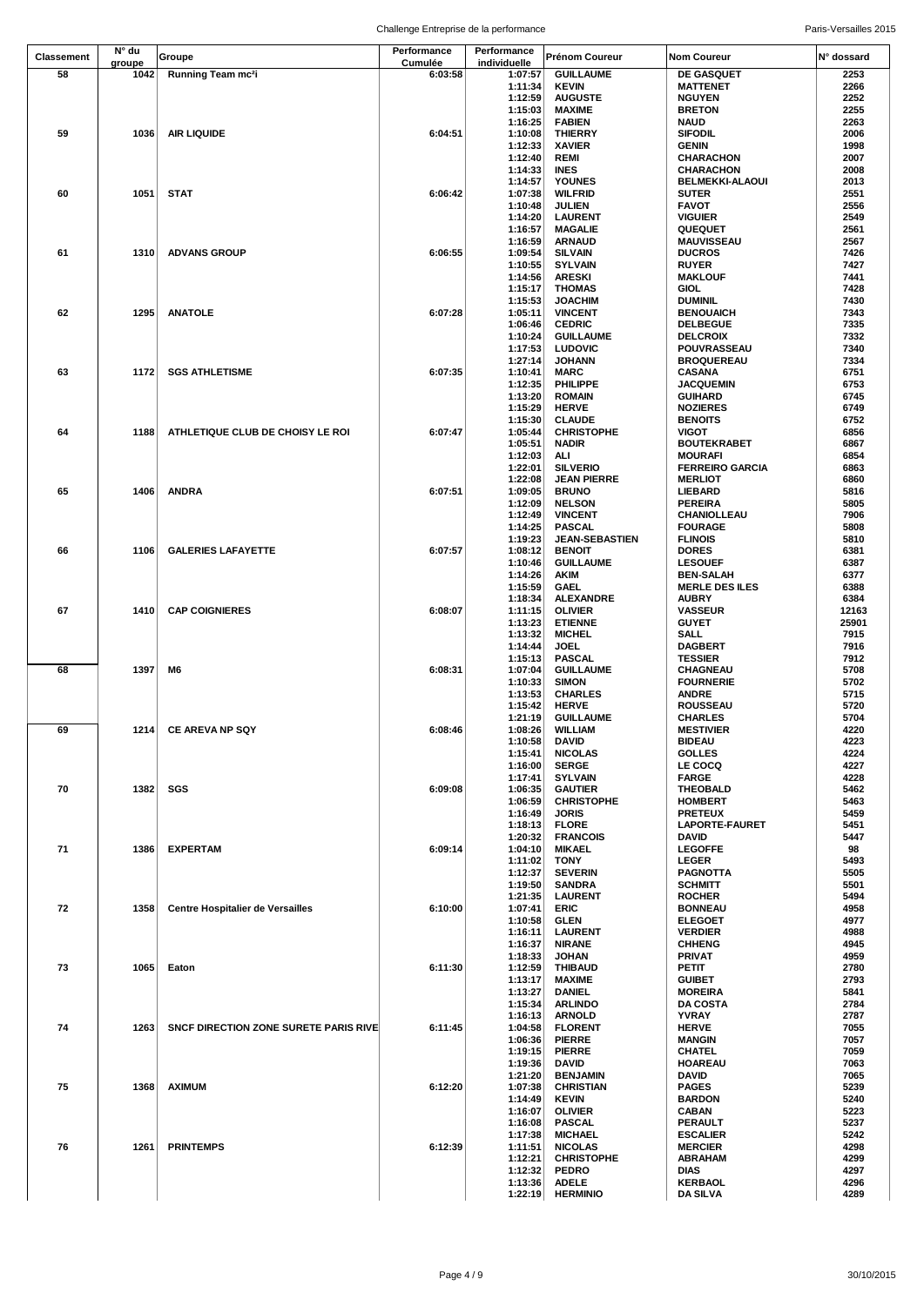|                   | N° du  |                                         | Performance | Performance        |                                     |                                           |              |
|-------------------|--------|-----------------------------------------|-------------|--------------------|-------------------------------------|-------------------------------------------|--------------|
| <b>Classement</b> | groupe | Groupe                                  | Cumulée     | individuelle       | <b>Prénom Coureur</b>               | <b>Nom Coureur</b>                        | N° dossard   |
| 58                | 1042   | Running Team mc2i                       | 6:03:58     | 1:07:57            | <b>GUILLAUME</b>                    | DE GASQUET                                | 2253         |
|                   |        |                                         |             | 1:11:34            | <b>KEVIN</b>                        | <b>MATTENET</b>                           | 2266         |
|                   |        |                                         |             | 1:12:59<br>1:15:03 | <b>AUGUSTE</b>                      | <b>NGUYEN</b><br><b>BRETON</b>            | 2252<br>2255 |
|                   |        |                                         |             | 1:16:25            | <b>MAXIME</b><br><b>FABIEN</b>      | <b>NAUD</b>                               | 2263         |
| 59                | 1036   | AIR LIQUIDE                             | 6:04:51     | 1:10:08            | <b>THIERRY</b>                      | <b>SIFODIL</b>                            | 2006         |
|                   |        |                                         |             | 1:12:33            | <b>XAVIER</b>                       | GENIN                                     | 1998         |
|                   |        |                                         |             | 1:12:40            | REMI                                | <b>CHARACHON</b>                          | 2007         |
|                   |        |                                         |             | 1:14:33            | <b>INES</b>                         | <b>CHARACHON</b>                          | 2008         |
|                   |        |                                         |             | 1:14:57            | <b>YOUNES</b>                       | <b>BELMEKKI-ALAOUI</b>                    | 2013         |
| 60                | 1051   | <b>STAT</b>                             | 6:06:42     | 1:07:38            | <b>WILFRID</b>                      | <b>SUTER</b>                              | 2551         |
|                   |        |                                         |             | 1:10:48            | <b>JULIEN</b>                       | <b>FAVOT</b>                              | 2556         |
|                   |        |                                         |             | 1:14:20            | <b>LAURENT</b>                      | <b>VIGUIER</b>                            | 2549         |
|                   |        |                                         |             | 1:16:57            | <b>MAGALIE</b>                      | <b>QUEQUET</b>                            | 2561         |
|                   |        |                                         |             | 1:16:59            | <b>ARNAUD</b>                       | <b>MAUVISSEAU</b>                         | 2567         |
| 61                | 1310   | <b>ADVANS GROUP</b>                     | 6:06:55     | 1:09:54<br>1:10:55 | <b>SILVAIN</b><br><b>SYLVAIN</b>    | <b>DUCROS</b><br><b>RUYER</b>             | 7426<br>7427 |
|                   |        |                                         |             | 1:14:56            | <b>ARESKI</b>                       | <b>MAKLOUF</b>                            | 7441         |
|                   |        |                                         |             | 1:15:17            | <b>THOMAS</b>                       | <b>GIOL</b>                               | 7428         |
|                   |        |                                         |             | 1:15:53            | <b>JOACHIM</b>                      | <b>DUMINIL</b>                            | 7430         |
| 62                | 1295   | <b>ANATOLE</b>                          | 6:07:28     | 1:05:11            | <b>VINCENT</b>                      | <b>BENOUAICH</b>                          | 7343         |
|                   |        |                                         |             | 1:06:46            | <b>CEDRIC</b>                       | <b>DELBEGUE</b>                           | 7335         |
|                   |        |                                         |             | 1:10:24            | <b>GUILLAUME</b>                    | <b>DELCROIX</b>                           | 7332         |
|                   |        |                                         |             | 1:17:53            | <b>LUDOVIC</b>                      | POUVRASSEAU                               | 7340         |
|                   |        |                                         |             | 1:27:14            | <b>JOHANN</b>                       | <b>BROQUEREAU</b>                         | 7334         |
| 63                |        | 1172 SGS ATHLETISME                     | 6:07:35     | 1:10:41            | MARC                                | <b>CASANA</b>                             | 6751         |
|                   |        |                                         |             | 1:12:35            | PHILIPPE                            | <b>JACQUEMIN</b>                          | 6753         |
|                   |        |                                         |             | 1:13:20<br>1:15:29 | <b>ROMAIN</b><br><b>HERVE</b>       | <b>GUIHARD</b><br><b>NOZIERES</b>         | 6745<br>6749 |
|                   |        |                                         |             | 1:15:30            | <b>CLAUDE</b>                       | <b>BENOITS</b>                            | 6752         |
| 64                | 1188   | ATHLETIQUE CLUB DE CHOISY LE ROI        | 6:07:47     | 1:05:44            | <b>CHRISTOPHE</b>                   | VIGOT                                     | 6856         |
|                   |        |                                         |             | 1:05:51            | <b>NADIR</b>                        | <b>BOUTEKRABET</b>                        | 6867         |
|                   |        |                                         |             | 1:12:03            | ALI                                 | <b>MOURAFI</b>                            | 6854         |
|                   |        |                                         |             | 1:22:01            | <b>SILVERIO</b>                     | <b>FERREIRO GARCIA</b>                    | 6863         |
|                   |        |                                         |             | 1:22:08            | <b>JEAN PIERRE</b>                  | <b>MERLIOT</b>                            | 6860         |
| 65                | 1406   | <b>ANDRA</b>                            | 6:07:51     | 1:09:05            | <b>BRUNO</b>                        | LIEBARD                                   | 5816         |
|                   |        |                                         |             | 1:12:09            | <b>NELSON</b>                       | <b>PEREIRA</b>                            | 5805         |
|                   |        |                                         |             | 1:12:49            | <b>VINCENT</b>                      | CHANIOLLEAU                               | 7906         |
|                   |        |                                         |             | 1:14:25            | <b>PASCAL</b>                       | <b>FOURAGE</b>                            | 5808         |
|                   |        |                                         |             | 1:19:23            | <b>JEAN-SEBASTIEN</b>               | <b>FLINOIS</b>                            | 5810         |
| 66                | 1106   | <b>GALERIES LAFAYETTE</b>               | 6:07:57     | 1:08:12            | <b>BENOIT</b>                       | <b>DORES</b>                              | 6381         |
|                   |        |                                         |             | 1:10:46            | <b>GUILLAUME</b><br><b>AKIM</b>     | <b>LESOUEF</b>                            | 6387<br>6377 |
|                   |        |                                         |             | 1:14:26<br>1:15:59 | <b>GAEL</b>                         | <b>BEN-SALAH</b><br><b>MERLE DES ILES</b> | 6388         |
|                   |        |                                         |             | 1:18:34            | <b>ALEXANDRE</b>                    | <b>AUBRY</b>                              | 6384         |
| 67                | 1410   | <b>CAP COIGNIERES</b>                   | 6:08:07     | 1:11:15            | <b>OLIVIER</b>                      | <b>VASSEUR</b>                            | 12163        |
|                   |        |                                         |             | 1:13:23            | <b>ETIENNE</b>                      | <b>GUYET</b>                              | 25901        |
|                   |        |                                         |             | 1:13:32            | <b>MICHEL</b>                       | SALL                                      | 7915         |
|                   |        |                                         |             | 1:14:44            | <b>JOEL</b>                         | <b>DAGBERT</b>                            | 7916         |
|                   |        |                                         |             | 1:15:13            | <b>PASCAL</b>                       | <b>TESSIER</b>                            | 7912         |
| 68                | 1397   | M6                                      | 6:08:31     | 1:07:04            | <b>GUILLAUME</b>                    | CHAGNEAU                                  | 5708         |
|                   |        |                                         |             | 1:10:33            | <b>SIMON</b>                        | <b>FOURNERIE</b>                          | 5702         |
|                   |        |                                         |             | 1:13:53            | <b>CHARLES</b>                      | <b>ANDRE</b>                              | 5715         |
|                   |        |                                         |             | 1:15:42            | <b>HERVE</b>                        | <b>ROUSSEAU</b>                           | 5720         |
|                   |        |                                         |             | 1:21:19            | <b>GUILLAUME</b><br>1:08:26 WILLIAM | <b>CHARLES</b>                            | 5704         |
| 69                |        | 1214 CE AREVA NP SQY                    | 6:08:46     | 1:10:58            | <b>DAVID</b>                        | <b>MESTIVIER</b><br><b>BIDEAU</b>         | 4220<br>4223 |
|                   |        |                                         |             | 1:15:41            | <b>NICOLAS</b>                      | <b>GOLLES</b>                             | 4224         |
|                   |        |                                         |             | 1:16:00            | <b>SERGE</b>                        | <b>LE COCQ</b>                            | 4227         |
|                   |        |                                         |             | 1:17:41            | <b>SYLVAIN</b>                      | <b>FARGE</b>                              | 4228         |
| 70                | 1382   | SGS                                     | 6:09:08     | 1:06:35            | <b>GAUTIER</b>                      | THEOBALD                                  | 5462         |
|                   |        |                                         |             | 1:06:59            | <b>CHRISTOPHE</b>                   | <b>HOMBERT</b>                            | 5463         |
|                   |        |                                         |             | 1:16:49            | <b>JORIS</b>                        | <b>PRETEUX</b>                            | 5459         |
|                   |        |                                         |             | 1:18:13            | FLORE                               | <b>LAPORTE-FAURET</b>                     | 5451         |
|                   |        |                                         |             | 1:20:32            | <b>FRANCOIS</b>                     | DAVID                                     | 5447         |
| 71                | 1386   | <b>EXPERTAM</b>                         | 6:09:14     | 1:04:10            | <b>MIKAEL</b>                       | <b>LEGOFFE</b>                            | 98           |
|                   |        |                                         |             | 1:11:02            | <b>TONY</b>                         | <b>LEGER</b>                              | 5493         |
|                   |        |                                         |             | 1:12:37<br>1:19:50 | <b>SEVERIN</b><br><b>SANDRA</b>     | <b>PAGNOTTA</b><br><b>SCHMITT</b>         | 5505<br>5501 |
|                   |        |                                         |             | 1:21:35            | <b>LAURENT</b>                      | <b>ROCHER</b>                             | 5494         |
| 72                | 1358   | <b>Centre Hospitalier de Versailles</b> | 6:10:00     | 1:07:41            | ERIC                                | <b>BONNEAU</b>                            | 4958         |
|                   |        |                                         |             | 1:10:58            | <b>GLEN</b>                         | <b>ELEGOET</b>                            | 4977         |
|                   |        |                                         |             | 1:16:11            | <b>LAURENT</b>                      | <b>VERDIER</b>                            | 4988         |
|                   |        |                                         |             | 1:16:37            | <b>NIRANE</b>                       | <b>CHHENG</b>                             | 4945         |
|                   |        |                                         |             | 1:18:33            | <b>JOHAN</b>                        | PRIVAT                                    | 4959         |
| 73                | 1065   | Eaton                                   | 6:11:30     | 1:12:59            | <b>THIBAUD</b>                      | PETIT                                     | 2780         |
|                   |        |                                         |             | 1:13:17            | <b>MAXIME</b>                       | <b>GUIBET</b>                             | 2793         |
|                   |        |                                         |             | 1:13:27            | DANIEL                              | <b>MOREIRA</b>                            | 5841         |
|                   |        |                                         |             | 1:15:34            | <b>ARLINDO</b>                      | <b>DA COSTA</b>                           | 2784<br>2787 |
| 74                | 1263   | SNCF DIRECTION ZONE SURETE PARIS RIVE   | 6:11:45     | 1:16:13<br>1:04:58 | <b>ARNOLD</b><br><b>FLORENT</b>     | YVRAY<br><b>HERVE</b>                     | 7055         |
|                   |        |                                         |             | 1:06:36            | <b>PIERRE</b>                       | <b>MANGIN</b>                             | 7057         |
|                   |        |                                         |             | 1:19:15            | <b>PIERRE</b>                       | CHATEL                                    | 7059         |
|                   |        |                                         |             | 1:19:36            | <b>DAVID</b>                        | HOAREAU                                   | 7063         |
|                   |        |                                         |             | 1:21:20            | <b>BENJAMIN</b>                     | DAVID                                     | 7065         |
| 75                | 1368   | <b>AXIMUM</b>                           | 6:12:20     | 1:07:38            | <b>CHRISTIAN</b>                    | <b>PAGES</b>                              | 5239         |
|                   |        |                                         |             | 1:14:49            | <b>KEVIN</b>                        | <b>BARDON</b>                             | 5240         |
|                   |        |                                         |             | 1:16:07            | <b>OLIVIER</b>                      | <b>CABAN</b>                              | 5223         |
|                   |        |                                         |             | 1:16:08            | <b>PASCAL</b>                       | PERAULT                                   | 5237         |
|                   |        |                                         |             | 1:17:38            | <b>MICHAEL</b>                      | <b>ESCALIER</b>                           | 5242         |
| 76                | 1261   | <b>PRINTEMPS</b>                        | 6:12:39     | 1:11:51<br>1:12:21 | <b>NICOLAS</b><br><b>CHRISTOPHE</b> | <b>MERCIER</b>                            | 4298<br>4299 |
|                   |        |                                         |             | 1:12:32            | <b>PEDRO</b>                        | <b>ABRAHAM</b><br>DIAS                    | 4297         |
|                   |        |                                         |             | 1:13:36            | <b>ADELE</b>                        | KERBAOL                                   | 4296         |
|                   |        |                                         |             | 1:22:19            | <b>HERMINIO</b>                     | <b>DA SILVA</b>                           | 4289         |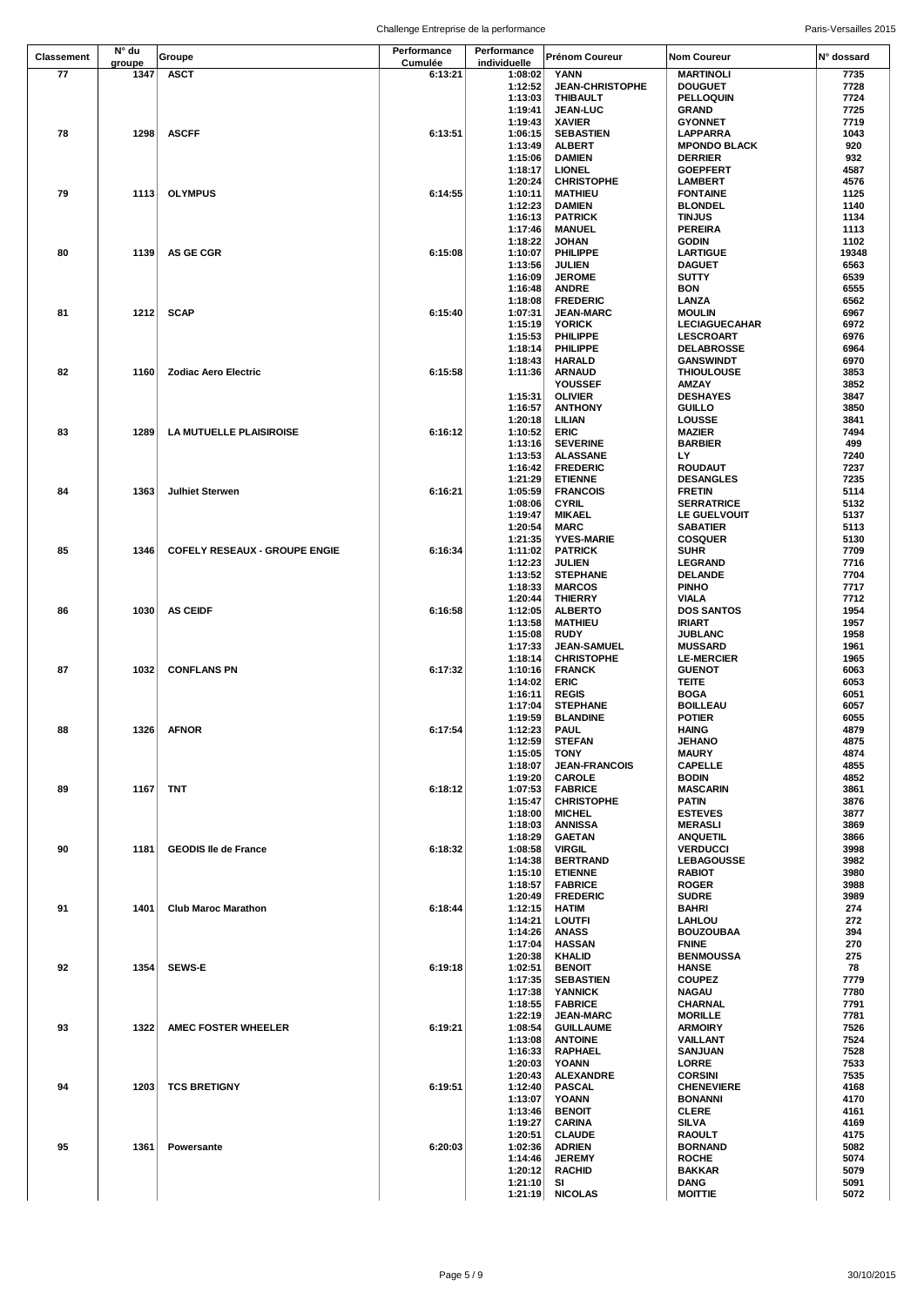|                   | N° du  |                                      | Performance | Performance        |                                       |                                       |              |
|-------------------|--------|--------------------------------------|-------------|--------------------|---------------------------------------|---------------------------------------|--------------|
| <b>Classement</b> | groupe | Groupe                               | Cumulée     | individuelle       | Prénom Coureur                        | Nom Coureur                           | N° dossard   |
| 77                | 1347   | <b>ASCT</b>                          | 6:13:21     | 1:08:02            | YANN                                  | <b>MARTINOLI</b>                      | 7735         |
|                   |        |                                      |             | 1:12:52            | <b>JEAN-CHRISTOPHE</b>                | <b>DOUGUET</b>                        | 7728         |
|                   |        |                                      |             | 1:13:03            | <b>THIBAULT</b>                       | <b>PELLOQUIN</b>                      | 7724         |
|                   |        |                                      |             | 1:19:41<br>1:19:43 | <b>JEAN-LUC</b><br><b>XAVIER</b>      | GRAND<br><b>GYONNET</b>               | 7725<br>7719 |
| 78                | 1298   | <b>ASCFF</b>                         | 6:13:51     | 1:06:15            | <b>SEBASTIEN</b>                      | <b>LAPPARRA</b>                       | 1043         |
|                   |        |                                      |             | 1:13:49            | <b>ALBERT</b>                         | <b>MPONDO BLACK</b>                   | 920          |
|                   |        |                                      |             | 1:15:06            | <b>DAMIEN</b>                         | <b>DERRIER</b>                        | 932          |
|                   |        |                                      |             | 1:18:17            | <b>LIONEL</b>                         | <b>GOEPFERT</b>                       | 4587         |
|                   |        |                                      |             | 1:20:24            | <b>CHRISTOPHE</b>                     | <b>LAMBERT</b>                        | 4576         |
| 79                | 1113   | <b>OLYMPUS</b>                       | 6:14:55     | 1:10:11            | <b>MATHIEU</b>                        | <b>FONTAINE</b>                       | 1125         |
|                   |        |                                      |             | 1:12:23            | <b>DAMIEN</b>                         | <b>BLONDEL</b>                        | 1140         |
|                   |        |                                      |             | 1:16:13            | <b>PATRICK</b>                        | <b>TINJUS</b>                         | 1134         |
|                   |        |                                      |             | 1:17:46            | <b>MANUEL</b>                         | <b>PEREIRA</b>                        | 1113<br>1102 |
| 80                | 1139   | <b>AS GE CGR</b>                     | 6:15:08     | 1:18:22<br>1:10:07 | <b>JOHAN</b><br>PHILIPPE              | <b>GODIN</b><br><b>LARTIGUE</b>       | 19348        |
|                   |        |                                      |             | 1:13:56            | <b>JULIEN</b>                         | <b>DAGUET</b>                         | 6563         |
|                   |        |                                      |             | 1:16:09            | <b>JEROME</b>                         | SUTTY                                 | 6539         |
|                   |        |                                      |             | 1:16:48            | <b>ANDRE</b>                          | BON                                   | 6555         |
|                   |        |                                      |             | 1:18:08            | <b>FREDERIC</b>                       | LANZA                                 | 6562         |
| 81                | 1212   | <b>SCAP</b>                          | 6:15:40     | 1:07:31            | <b>JEAN-MARC</b>                      | <b>MOULIN</b>                         | 6967         |
|                   |        |                                      |             | 1:15:19            | <b>YORICK</b>                         | <b>LECIAGUECAHAR</b>                  | 6972         |
|                   |        |                                      |             | 1:15:53<br>1:18:14 | PHILIPPE<br>PHILIPPE                  | <b>LESCROART</b><br><b>DELABROSSE</b> | 6976<br>6964 |
|                   |        |                                      |             | 1:18:43            | <b>HARALD</b>                         | <b>GANSWINDT</b>                      | 6970         |
| 82                | 1160   | <b>Zodiac Aero Electric</b>          | 6:15:58     | 1:11:36            | <b>ARNAUD</b>                         | <b>THIOULOUSE</b>                     | 3853         |
|                   |        |                                      |             |                    | YOUSSEF                               | AMZAY                                 | 3852         |
|                   |        |                                      |             | 1:15:31            | <b>OLIVIER</b>                        | <b>DESHAYES</b>                       | 3847         |
|                   |        |                                      |             | 1:16:57            | <b>ANTHONY</b>                        | <b>GUILLO</b>                         | 3850         |
|                   |        |                                      |             | 1:20:18            | LILIAN                                | <b>LOUSSE</b>                         | 3841         |
| 83                | 1289   | LA MUTUELLE PLAISIROISE              | 6:16:12     | 1:10:52            | <b>ERIC</b>                           | <b>MAZIER</b>                         | 7494         |
|                   |        |                                      |             | 1:13:16<br>1:13:53 | <b>SEVERINE</b><br><b>ALASSANE</b>    | <b>BARBIER</b><br>LY                  | 499<br>7240  |
|                   |        |                                      |             | 1:16:42            | <b>FREDERIC</b>                       | ROUDAUT                               | 7237         |
|                   |        |                                      |             | 1:21:29            | <b>ETIENNE</b>                        | <b>DESANGLES</b>                      | 7235         |
| 84                | 1363   | <b>Julhiet Sterwen</b>               | 6:16:21     | 1:05:59            | <b>FRANCOIS</b>                       | <b>FRETIN</b>                         | 5114         |
|                   |        |                                      |             | 1:08:06            | <b>CYRIL</b>                          | <b>SERRATRICE</b>                     | 5132         |
|                   |        |                                      |             | 1:19:47            | <b>MIKAEL</b>                         | LE GUELVOUIT                          | 5137         |
|                   |        |                                      |             | 1:20:54            | <b>MARC</b>                           | <b>SABATIER</b>                       | 5113         |
|                   |        |                                      |             | 1:21:35            | <b>YVES-MARIE</b>                     | <b>COSQUER</b>                        | 5130         |
| 85                | 1346   | <b>COFELY RESEAUX - GROUPE ENGIE</b> | 6:16:34     | 1:11:02            | <b>PATRICK</b>                        | SUHR                                  | 7709         |
|                   |        |                                      |             | 1:12:23<br>1:13:52 | <b>JULIEN</b><br><b>STEPHANE</b>      | <b>LEGRAND</b><br><b>DELANDE</b>      | 7716<br>7704 |
|                   |        |                                      |             | 1:18:33            | <b>MARCOS</b>                         | <b>PINHO</b>                          | 7717         |
|                   |        |                                      |             | 1:20:44            | <b>THIERRY</b>                        | <b>VIALA</b>                          | 7712         |
| 86                | 1030   | <b>AS CEIDF</b>                      | 6:16:58     | 1:12:05            | <b>ALBERTO</b>                        | <b>DOS SANTOS</b>                     | 1954         |
|                   |        |                                      |             | 1:13:58            | <b>MATHIEU</b>                        | <b>IRIART</b>                         | 1957         |
|                   |        |                                      |             | 1:15:08            | <b>RUDY</b>                           | JUBLANC                               | 1958         |
|                   |        |                                      |             | 1:17:33            | <b>JEAN-SAMUEL</b>                    | <b>MUSSARD</b>                        | 1961         |
|                   |        |                                      |             | 1:18:14            | <b>CHRISTOPHE</b>                     | <b>LE-MERCIER</b>                     | 1965         |
| 87                | 1032   | <b>CONFLANS PN</b>                   | 6:17:32     | 1:10:16<br>1:14:02 | <b>FRANCK</b><br>ERIC                 | <b>GUENOT</b><br><b>TEITE</b>         | 6063<br>6053 |
|                   |        |                                      |             | 1:16:11            | <b>REGIS</b>                          | <b>BOGA</b>                           | 6051         |
|                   |        |                                      |             | 1:17:04            | <b>STEPHANE</b>                       | <b>BOILLEAU</b>                       | 6057         |
|                   |        |                                      |             | 1:19:59            | <b>BLANDINE</b>                       | <b>POTIER</b>                         | 6055         |
| 88                |        | 1326 AFNOR                           | 6:17:54     | 1:12:23            | <b>PAUL</b>                           | <b>HAING</b>                          | 4879         |
|                   |        |                                      |             | 1:12:59            | <b>STEFAN</b>                         | <b>JEHANO</b>                         | 4875         |
|                   |        |                                      |             | 1:15:05            | TONY                                  | <b>MAURY</b>                          | 4874         |
|                   |        |                                      |             | 1:18:07<br>1:19:20 | <b>JEAN-FRANCOIS</b><br><b>CAROLE</b> | <b>CAPELLE</b><br><b>BODIN</b>        | 4855<br>4852 |
| 89                | 1167   | TNT                                  | 6:18:12     | 1:07:53            | <b>FABRICE</b>                        | <b>MASCARIN</b>                       | 3861         |
|                   |        |                                      |             | 1:15:47            | <b>CHRISTOPHE</b>                     | <b>PATIN</b>                          | 3876         |
|                   |        |                                      |             | 1:18:00            | <b>MICHEL</b>                         | <b>ESTEVES</b>                        | 3877         |
|                   |        |                                      |             | 1:18:03            | <b>ANNISSA</b>                        | <b>MERASLI</b>                        | 3869         |
|                   |        |                                      |             | 1:18:29            | <b>GAETAN</b>                         | ANQUETIL                              | 3866         |
| 90                | 1181   | <b>GEODIS lie de France</b>          | 6:18:32     | 1:08:58            | <b>VIRGIL</b>                         | <b>VERDUCCI</b>                       | 3998         |
|                   |        |                                      |             | 1:14:38<br>1:15:10 | <b>BERTRAND</b><br><b>ETIENNE</b>     | <b>LEBAGOUSSE</b><br><b>RABIOT</b>    | 3982<br>3980 |
|                   |        |                                      |             | 1:18:57            | <b>FABRICE</b>                        | <b>ROGER</b>                          | 3988         |
|                   |        |                                      |             | 1:20:49            | <b>FREDERIC</b>                       | <b>SUDRE</b>                          | 3989         |
| 91                | 1401   | <b>Club Maroc Marathon</b>           | 6:18:44     | 1:12:15            | <b>HATIM</b>                          | BAHRI                                 | 274          |
|                   |        |                                      |             | 1:14:21            | LOUTFI                                | LAHLOU                                | 272          |
|                   |        |                                      |             | 1:14:26            | <b>ANASS</b>                          | <b>BOUZOUBAA</b>                      | 394          |
|                   |        |                                      |             | 1:17:04<br>1:20:38 | <b>HASSAN</b><br><b>KHALID</b>        | <b>FNINE</b><br><b>BENMOUSSA</b>      | 270<br>275   |
| 92                | 1354   | <b>SEWS-E</b>                        | 6:19:18     | 1:02:51            | <b>BENOIT</b>                         | <b>HANSE</b>                          | 78           |
|                   |        |                                      |             | 1:17:35            | <b>SEBASTIEN</b>                      | <b>COUPEZ</b>                         | 7779         |
|                   |        |                                      |             | 1:17:38            | <b>YANNICK</b>                        | <b>NAGAU</b>                          | 7780         |
|                   |        |                                      |             | 1:18:55            | <b>FABRICE</b>                        | <b>CHARNAL</b>                        | 7791         |
|                   |        |                                      |             | 1:22:19            | <b>JEAN-MARC</b>                      | <b>MORILLE</b>                        | 7781         |
| 93                | 1322   | <b>AMEC FOSTER WHEELER</b>           | 6:19:21     | 1:08:54            | <b>GUILLAUME</b>                      | <b>ARMOIRY</b>                        | 7526<br>7524 |
|                   |        |                                      |             | 1:13:08<br>1:16:33 | <b>ANTOINE</b><br><b>RAPHAEL</b>      | VAILLANT<br><b>SANJUAN</b>            | 7528         |
|                   |        |                                      |             | 1:20:03            | <b>YOANN</b>                          | LORRE                                 | 7533         |
|                   |        |                                      |             | 1:20:43            | <b>ALEXANDRE</b>                      | <b>CORSINI</b>                        | 7535         |
| 94                | 1203   | <b>TCS BRETIGNY</b>                  | 6:19:51     | 1:12:40            | <b>PASCAL</b>                         | <b>CHENEVIERE</b>                     | 4168         |
|                   |        |                                      |             | 1:13:07            | YOANN                                 | <b>BONANNI</b>                        | 4170         |
|                   |        |                                      |             | 1:13:46            | <b>BENOIT</b>                         | <b>CLERE</b>                          | 4161         |
|                   |        |                                      |             | 1:19:27            | <b>CARINA</b>                         | <b>SILVA</b>                          | 4169         |
| 95                | 1361   | Powersante                           | 6:20:03     | 1:20:51<br>1:02:36 | <b>CLAUDE</b><br><b>ADRIEN</b>        | RAOULT<br><b>BORNAND</b>              | 4175<br>5082 |
|                   |        |                                      |             | 1:14:46            | <b>JEREMY</b>                         | <b>ROCHE</b>                          | 5074         |
|                   |        |                                      |             | 1:20:12            | <b>RACHID</b>                         | <b>BAKKAR</b>                         | 5079         |
|                   |        |                                      |             | 1:21:10            | SI                                    | <b>DANG</b>                           | 5091         |
|                   |        |                                      |             | 1:21:19            | <b>NICOLAS</b>                        | <b>MOITTIE</b>                        | 5072         |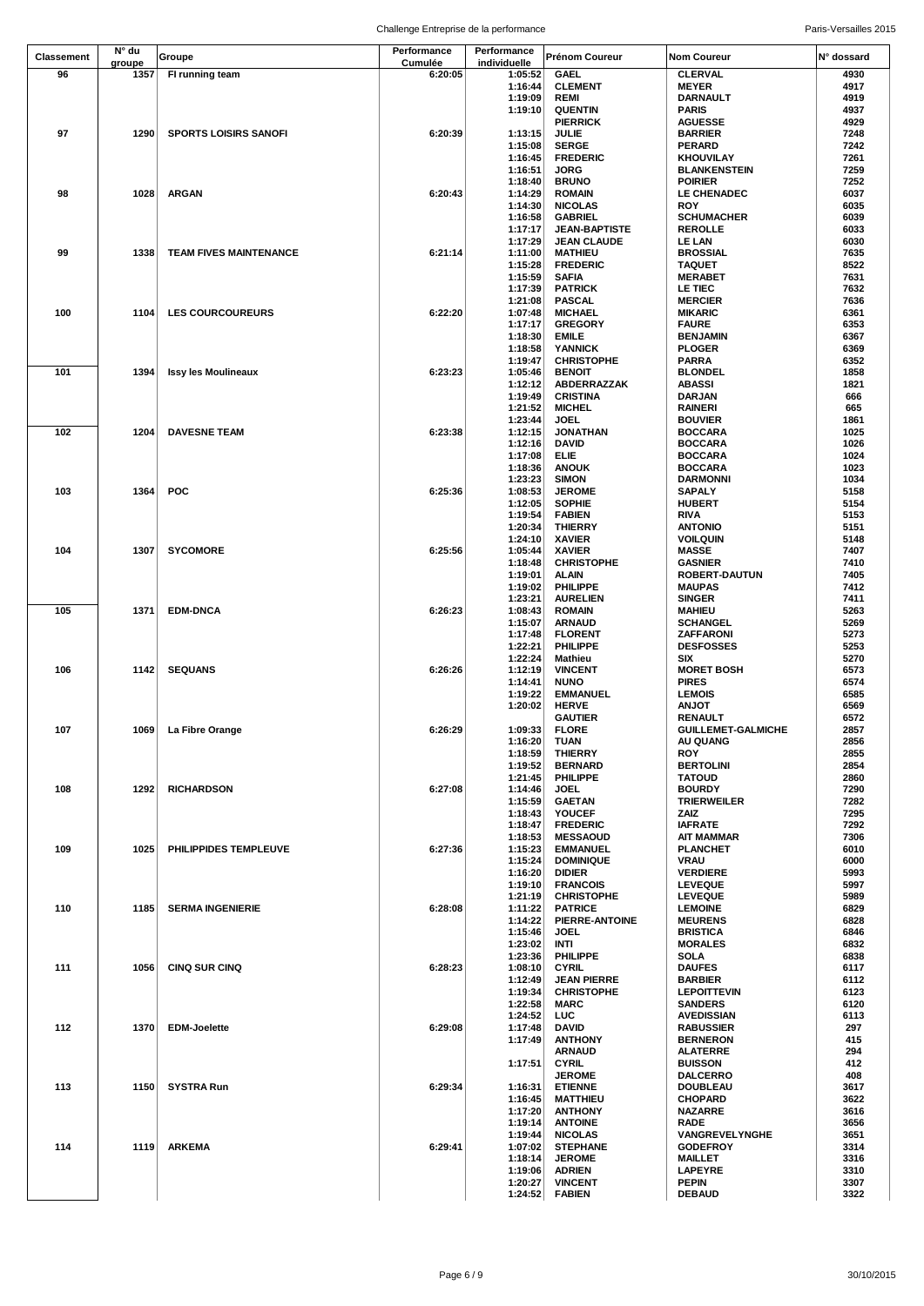|                   | N° du  |                               | Performance | Performance        |                                    |                                         |              |
|-------------------|--------|-------------------------------|-------------|--------------------|------------------------------------|-----------------------------------------|--------------|
| <b>Classement</b> | groupe | Groupe                        | Cumulée     | individuelle       | Prénom Coureur                     | <b>Nom Coureur</b>                      | N° dossard   |
| 96                | 1357   | FI running team               | 6:20:05     | 1:05:52            | <b>GAEL</b>                        | <b>CLERVAL</b>                          | 4930         |
|                   |        |                               |             | 1:16:44            | <b>CLEMENT</b>                     | <b>MEYER</b>                            | 4917         |
|                   |        |                               |             | 1:19:09            | <b>REMI</b>                        | DARNAULT                                | 4919         |
|                   |        |                               |             | 1:19:10            | <b>QUENTIN</b>                     | <b>PARIS</b>                            | 4937         |
|                   |        |                               |             |                    | <b>PIERRICK</b>                    | <b>AGUESSE</b>                          | 4929         |
| 97                | 1290   | <b>SPORTS LOISIRS SANOFI</b>  | 6:20:39     | 1:13:15            | JULIE                              | <b>BARRIER</b>                          | 7248         |
|                   |        |                               |             | 1:15:08            | <b>SERGE</b><br><b>FREDERIC</b>    | <b>PERARD</b>                           | 7242<br>7261 |
|                   |        |                               |             | 1:16:45<br>1:16:51 | <b>JORG</b>                        | <b>KHOUVILAY</b><br><b>BLANKENSTEIN</b> | 7259         |
|                   |        |                               |             | 1:18:40            | <b>BRUNO</b>                       | <b>POIRIER</b>                          | 7252         |
| 98                | 1028   | <b>ARGAN</b>                  | 6:20:43     | 1:14:29            | <b>ROMAIN</b>                      | LE CHENADEC                             | 6037         |
|                   |        |                               |             | 1:14:30            | <b>NICOLAS</b>                     | <b>ROY</b>                              | 6035         |
|                   |        |                               |             | 1:16:58            | <b>GABRIEL</b>                     | <b>SCHUMACHER</b>                       | 6039         |
|                   |        |                               |             | 1:17:17            | <b>JEAN-BAPTISTE</b>               | <b>REROLLE</b>                          | 6033         |
|                   |        |                               |             | 1:17:29            | <b>JEAN CLAUDE</b>                 | <b>LE LAN</b>                           | 6030         |
| 99                | 1338   | <b>TEAM FIVES MAINTENANCE</b> | 6:21:14     | 1:11:00            | <b>MATHIEU</b>                     | <b>BROSSIAL</b>                         | 7635         |
|                   |        |                               |             | 1:15:28            | <b>FREDERIC</b>                    | <b>TAQUET</b>                           | 8522         |
|                   |        |                               |             | 1:15:59            | <b>SAFIA</b>                       | <b>MERABET</b>                          | 7631         |
|                   |        |                               |             | 1:17:39<br>1:21:08 | <b>PATRICK</b><br><b>PASCAL</b>    | LE TIEC<br><b>MERCIER</b>               | 7632<br>7636 |
| 100               | 1104   | <b>LES COURCOUREURS</b>       | 6:22:20     | 1:07:48            | <b>MICHAEL</b>                     | <b>MIKARIC</b>                          | 6361         |
|                   |        |                               |             | 1:17:17            | <b>GREGORY</b>                     | <b>FAURE</b>                            | 6353         |
|                   |        |                               |             | 1:18:30            | <b>EMILE</b>                       | <b>BENJAMIN</b>                         | 6367         |
|                   |        |                               |             | 1:18:58            | <b>YANNICK</b>                     | <b>PLOGER</b>                           | 6369         |
|                   |        |                               |             | 1:19:47            | <b>CHRISTOPHE</b>                  | <b>PARRA</b>                            | 6352         |
| 101               | 1394   | <b>Issy les Moulineaux</b>    | 6:23:23     | 1:05:46            | <b>BENOIT</b>                      | <b>BLONDEL</b>                          | 1858         |
|                   |        |                               |             | 1:12:12            | ABDERRAZZAK                        | <b>ABASSI</b>                           | 1821         |
|                   |        |                               |             | 1:19:49            | <b>CRISTINA</b>                    | <b>DARJAN</b>                           | 666          |
|                   |        |                               |             | 1:21:52            | <b>MICHEL</b>                      | <b>RAINERI</b><br><b>BOUVIER</b>        | 665          |
| 102               | 1204   | <b>DAVESNE TEAM</b>           | 6:23:38     | 1:23:44<br>1:12:15 | <b>JOEL</b><br><b>JONATHAN</b>     | <b>BOCCARA</b>                          | 1861<br>1025 |
|                   |        |                               |             | 1:12:16            | DAVID                              | <b>BOCCARA</b>                          | 1026         |
|                   |        |                               |             | 1:17:08            | <b>ELIE</b>                        | <b>BOCCARA</b>                          | 1024         |
|                   |        |                               |             | 1:18:36            | <b>ANOUK</b>                       | <b>BOCCARA</b>                          | 1023         |
|                   |        |                               |             | 1:23:23            | <b>SIMON</b>                       | <b>DARMONNI</b>                         | 1034         |
| 103               | 1364   | <b>POC</b>                    | 6:25:36     | 1:08:53            | <b>JEROME</b>                      | <b>SAPALY</b>                           | 5158         |
|                   |        |                               |             | 1:12:05            | <b>SOPHIE</b>                      | <b>HUBERT</b>                           | 5154         |
|                   |        |                               |             | 1:19:54            | <b>FABIEN</b>                      | <b>RIVA</b>                             | 5153         |
|                   |        |                               |             | 1:20:34            | <b>THIERRY</b>                     | <b>ANTONIO</b>                          | 5151         |
|                   |        |                               |             | 1:24:10            | <b>XAVIER</b>                      | <b>VOILQUIN</b>                         | 5148         |
| 104               | 1307   | <b>SYCOMORE</b>               | 6:25:56     | 1:05:44<br>1:18:48 | <b>XAVIER</b><br><b>CHRISTOPHE</b> | <b>MASSE</b><br><b>GASNIER</b>          | 7407<br>7410 |
|                   |        |                               |             | 1:19:01            | <b>ALAIN</b>                       | <b>ROBERT-DAUTUN</b>                    | 7405         |
|                   |        |                               |             | 1:19:02            | PHILIPPE                           | <b>MAUPAS</b>                           | 7412         |
|                   |        |                               |             | 1:23:21            | <b>AURELIEN</b>                    | <b>SINGER</b>                           | 7411         |
| 105               | 1371   | <b>EDM-DNCA</b>               | 6:26:23     | 1:08:43            | <b>ROMAIN</b>                      | <b>MAHIEU</b>                           | 5263         |
|                   |        |                               |             | 1:15:07            | <b>ARNAUD</b>                      | <b>SCHANGEL</b>                         | 5269         |
|                   |        |                               |             | 1:17:48            | <b>FLORENT</b>                     | ZAFFARONI                               | 5273         |
|                   |        |                               |             | 1:22:21            | PHILIPPE                           | <b>DESFOSSES</b>                        | 5253         |
|                   |        |                               |             | 1:22:24            | Mathieu                            | SIX                                     | 5270         |
| 106               | 1142   | <b>SEQUANS</b>                | 6:26:26     | 1:12:19            | <b>VINCENT</b>                     | <b>MORET BOSH</b>                       | 6573         |
|                   |        |                               |             | 1:14:41            | <b>NUNO</b>                        | <b>PIRES</b>                            | 6574         |
|                   |        |                               |             | 1:19:22<br>1:20:02 | <b>EMMANUEL</b><br><b>HERVE</b>    | <b>LEMOIS</b><br><b>TOLIA</b>           | 6585<br>6569 |
|                   |        |                               |             |                    | <b>GAUTIER</b>                     | RENAULT                                 | 6572         |
| 107               |        | 1069 La Fibre Orange          | 6:26:29     | 1:09:33            | <b>FLORE</b>                       | <b>GUILLEMET-GALMICHE</b>               | 2857         |
|                   |        |                               |             | 1:16:20            | TUAN                               | AU QUANG                                | 2856         |
|                   |        |                               |             | 1:18:59            | <b>THIERRY</b>                     | <b>ROY</b>                              | 2855         |
|                   |        |                               |             | 1:19:52            | <b>BERNARD</b>                     | <b>BERTOLINI</b>                        | 2854         |
|                   |        |                               |             | 1:21:45            | PHILIPPE                           | <b>TATOUD</b>                           | 2860         |
| 108               | 1292   | <b>RICHARDSON</b>             | 6:27:08     | 1:14:46            | <b>JOEL</b>                        | <b>BOURDY</b>                           | 7290         |
|                   |        |                               |             | 1:15:59            | <b>GAETAN</b>                      | <b>TRIERWEILER</b>                      | 7282         |
|                   |        |                               |             | 1:18:43<br>1:18:47 | YOUCEF<br><b>FREDERIC</b>          | ZAIZ<br><b>IAFRATE</b>                  | 7295<br>7292 |
|                   |        |                               |             | 1:18:53            | <b>MESSAOUD</b>                    | <b>AIT MAMMAR</b>                       | 7306         |
| 109               | 1025   | PHILIPPIDES TEMPLEUVE         | 6:27:36     | 1:15:23            | <b>EMMANUEL</b>                    | <b>PLANCHET</b>                         | 6010         |
|                   |        |                               |             | 1:15:24            | <b>DOMINIQUE</b>                   | VRAU                                    | 6000         |
|                   |        |                               |             | 1:16:20            | <b>DIDIER</b>                      | <b>VERDIERE</b>                         | 5993         |
|                   |        |                               |             | 1:19:10            | <b>FRANCOIS</b>                    | <b>LEVEQUE</b>                          | 5997         |
|                   |        |                               |             | 1:21:19            | <b>CHRISTOPHE</b>                  | <b>LEVEQUE</b>                          | 5989         |
| 110               | 1185   | <b>SERMA INGENIERIE</b>       | 6:28:08     | 1:11:22            | <b>PATRICE</b>                     | <b>LEMOINE</b>                          | 6829         |
|                   |        |                               |             | 1:14:22            | PIERRE-ANTOINE                     | <b>MEURENS</b>                          | 6828<br>6846 |
|                   |        |                               |             | 1:15:46<br>1:23:02 | <b>JOEL</b><br>INTI                | <b>BRISTICA</b><br><b>MORALES</b>       | 6832         |
|                   |        |                               |             | 1:23:36            | PHILIPPE                           | SOLA                                    | 6838         |
| 111               | 1056   | <b>CINQ SUR CINQ</b>          | 6:28:23     | 1:08:10            | <b>CYRIL</b>                       | <b>DAUFES</b>                           | 6117         |
|                   |        |                               |             | 1:12:49            | <b>JEAN PIERRE</b>                 | <b>BARBIER</b>                          | 6112         |
|                   |        |                               |             | 1:19:34            | <b>CHRISTOPHE</b>                  | <b>LEPOITTEVIN</b>                      | 6123         |
|                   |        |                               |             | 1:22:58            | <b>MARC</b>                        | <b>SANDERS</b>                          | 6120         |
|                   |        |                               |             | 1:24:52            | LUC                                | <b>AVEDISSIAN</b>                       | 6113         |
| 112               | 1370   | <b>EDM-Joelette</b>           | 6:29:08     | 1:17:48            | DAVID                              | <b>RABUSSIER</b>                        | 297          |
|                   |        |                               |             | 1:17:49            | <b>ANTHONY</b>                     | <b>BERNERON</b>                         | 415          |
|                   |        |                               |             | 1:17:51            | <b>ARNAUD</b><br><b>CYRIL</b>      | <b>ALATERRE</b><br><b>BUISSON</b>       | 294<br>412   |
|                   |        |                               |             |                    | <b>JEROME</b>                      | <b>DALCERRO</b>                         | 408          |
| 113               | 1150   | <b>SYSTRA Run</b>             | 6:29:34     | 1:16:31            | <b>ETIENNE</b>                     | <b>DOUBLEAU</b>                         | 3617         |
|                   |        |                               |             | 1:16:45            | <b>MATTHIEU</b>                    | <b>CHOPARD</b>                          | 3622         |
|                   |        |                               |             | 1:17:20            | <b>ANTHONY</b>                     | <b>NAZARRE</b>                          | 3616         |
|                   |        |                               |             | 1:19:14            | <b>ANTOINE</b>                     | <b>RADE</b>                             | 3656         |
|                   |        |                               |             | 1:19:44            | <b>NICOLAS</b>                     | VANGREVELYNGHE                          | 3651         |
| 114               | 1119   | <b>ARKEMA</b>                 | 6:29:41     | 1:07:02            | <b>STEPHANE</b>                    | <b>GODEFROY</b>                         | 3314         |
|                   |        |                               |             | 1:18:14            | <b>JEROME</b>                      | <b>MAILLET</b>                          | 3316         |
|                   |        |                               |             | 1:19:06            | <b>ADRIEN</b>                      | <b>LAPEYRE</b>                          | 3310         |
|                   |        |                               |             | 1:20:27<br>1:24:52 | <b>VINCENT</b><br><b>FABIEN</b>    | <b>PEPIN</b><br><b>DEBAUD</b>           | 3307<br>3322 |
|                   |        |                               |             |                    |                                    |                                         |              |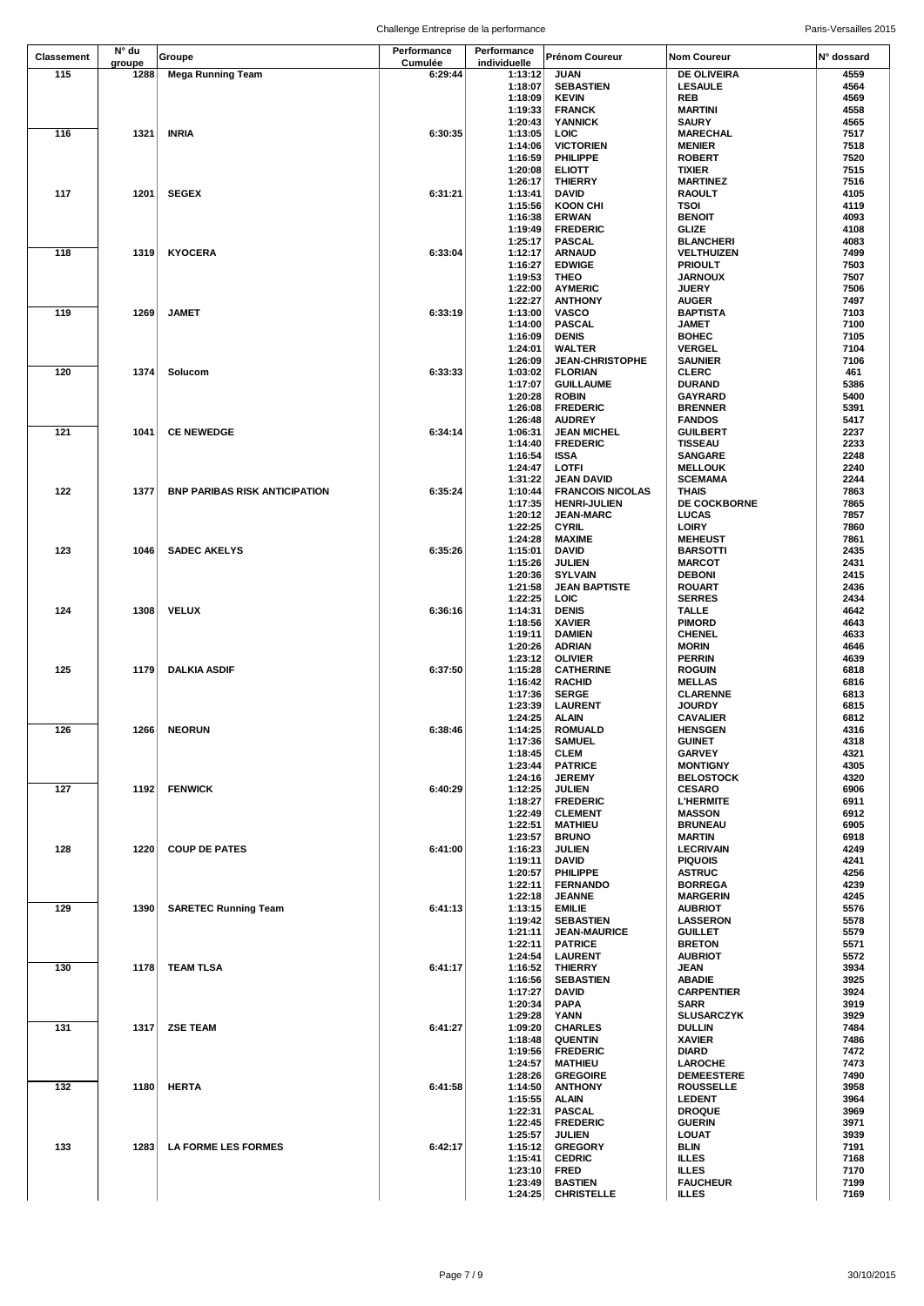| <b>Classement</b><br>115 | N° du<br>groupe<br>1288 | Groupe                               | Performance<br>Cumulée | Performance<br>individuelle | Prénom Coureur                               | Nom Coureur                        | N° dossard   |
|--------------------------|-------------------------|--------------------------------------|------------------------|-----------------------------|----------------------------------------------|------------------------------------|--------------|
|                          |                         |                                      |                        |                             |                                              |                                    |              |
|                          |                         | <b>Mega Running Team</b>             | 6:29:44                | 1:13:12<br>1:18:07          | <b>JUAN</b><br><b>SEBASTIEN</b>              | DE OLIVEIRA<br><b>LESAULE</b>      | 4559<br>4564 |
|                          |                         |                                      |                        | 1:18:09                     | <b>KEVIN</b>                                 | REB                                | 4569         |
|                          |                         |                                      |                        | 1:19:33                     | <b>FRANCK</b>                                | <b>MARTINI</b>                     | 4558         |
| 116                      | 1321                    | <b>INRIA</b>                         | 6:30:35                | 1:20:43<br>1:13:05          | <b>YANNICK</b><br><b>LOIC</b>                | <b>SAURY</b><br><b>MARECHAL</b>    | 4565<br>7517 |
|                          |                         |                                      |                        | 1:14:06                     | <b>VICTORIEN</b>                             | <b>MENIER</b>                      | 7518         |
|                          |                         |                                      |                        | 1:16:59                     | PHILIPPE                                     | <b>ROBERT</b>                      | 7520         |
|                          |                         |                                      |                        | 1:20:08                     | <b>ELIOTT</b>                                | TIXIER                             | 7515         |
| 117                      | 1201                    | <b>SEGEX</b>                         | 6:31:21                | 1:26:17<br>1:13:41          | <b>THIERRY</b><br>DAVID                      | <b>MARTINEZ</b><br>RAOULT          | 7516<br>4105 |
|                          |                         |                                      |                        | 1:15:56                     | <b>KOON CHI</b>                              | TSOI                               | 4119         |
|                          |                         |                                      |                        | 1:16:38                     | <b>ERWAN</b>                                 | <b>BENOIT</b>                      | 4093         |
|                          |                         |                                      |                        | 1:19:49                     | <b>FREDERIC</b>                              | <b>GLIZE</b>                       | 4108         |
| 118                      | 1319                    | <b>KYOCERA</b>                       | 6:33:04                | 1:25:17<br>1:12:17          | <b>PASCAL</b><br><b>ARNAUD</b>               | <b>BLANCHERI</b><br>VELTHUIZEN     | 4083<br>7499 |
|                          |                         |                                      |                        | 1:16:27                     | <b>EDWIGE</b>                                | <b>PRIOULT</b>                     | 7503         |
|                          |                         |                                      |                        | 1:19:53                     | THEO                                         | <b>JARNOUX</b>                     | 7507         |
|                          |                         |                                      |                        | 1:22:00                     | <b>AYMERIC</b>                               | <b>JUERY</b>                       | 7506         |
| 119                      | 1269                    | <b>JAMET</b>                         | 6:33:19                | 1:22:27<br>1:13:00          | <b>ANTHONY</b><br><b>VASCO</b>               | <b>AUGER</b><br><b>BAPTISTA</b>    | 7497<br>7103 |
|                          |                         |                                      |                        | 1:14:00                     | <b>PASCAL</b>                                | JAMET                              | 7100         |
|                          |                         |                                      |                        | 1:16:09                     | <b>DENIS</b>                                 | <b>BOHEC</b>                       | 7105         |
|                          |                         |                                      |                        | 1:24:01                     | <b>WALTER</b>                                | <b>VERGEL</b>                      | 7104         |
| 120                      | 1374                    | Solucom                              | 6:33:33                | 1:26:09<br>1:03:02          | <b>JEAN-CHRISTOPHE</b><br><b>FLORIAN</b>     | <b>SAUNIER</b><br><b>CLERC</b>     | 7106<br>461  |
|                          |                         |                                      |                        | 1:17:07                     | <b>GUILLAUME</b>                             | <b>DURAND</b>                      | 5386         |
|                          |                         |                                      |                        | 1:20:28                     | <b>ROBIN</b>                                 | <b>GAYRARD</b>                     | 5400         |
|                          |                         |                                      |                        | 1:26:08                     | <b>FREDERIC</b>                              | <b>BRENNER</b>                     | 5391         |
| 121                      | 1041                    | <b>CE NEWEDGE</b>                    | 6:34:14                | 1:26:48<br>1:06:31          | <b>AUDREY</b><br><b>JEAN MICHEL</b>          | <b>FANDOS</b><br><b>GUILBERT</b>   | 5417<br>2237 |
|                          |                         |                                      |                        | 1:14:40                     | <b>FREDERIC</b>                              | <b>TISSEAU</b>                     | 2233         |
|                          |                         |                                      |                        | 1:16:54                     | <b>ISSA</b>                                  | <b>SANGARE</b>                     | 2248         |
|                          |                         |                                      |                        | 1:24:47                     | LOTFI                                        | <b>MELLOUK</b>                     | 2240         |
| 122                      | 1377                    | <b>BNP PARIBAS RISK ANTICIPATION</b> | 6:35:24                | 1:31:22<br>1:10:44          | <b>JEAN DAVID</b><br><b>FRANCOIS NICOLAS</b> | <b>SCEMAMA</b><br>THAIS            | 2244<br>7863 |
|                          |                         |                                      |                        | 1:17:35                     | <b>HENRI-JULIEN</b>                          | <b>DE COCKBORNE</b>                | 7865         |
|                          |                         |                                      |                        | 1:20:12                     | <b>JEAN-MARC</b>                             | <b>LUCAS</b>                       | 7857         |
|                          |                         |                                      |                        | 1:22:25                     | <b>CYRIL</b>                                 | <b>LOIRY</b>                       | 7860         |
| 123                      | 1046                    | <b>SADEC AKELYS</b>                  | 6:35:26                | 1:24:28<br>1:15:01          | <b>MAXIME</b><br><b>DAVID</b>                | <b>MEHEUST</b><br><b>BARSOTTI</b>  | 7861<br>2435 |
|                          |                         |                                      |                        | 1:15:26                     | <b>JULIEN</b>                                | <b>MARCOT</b>                      | 2431         |
|                          |                         |                                      |                        | 1:20:36                     | <b>SYLVAIN</b>                               | <b>DEBONI</b>                      | 2415         |
|                          |                         |                                      |                        | 1:21:58                     | <b>JEAN BAPTISTE</b>                         | <b>ROUART</b>                      | 2436         |
| 124                      | 1308                    | <b>VELUX</b>                         | 6:36:16                | 1:22:25<br>1:14:31          | LOIC<br><b>DENIS</b>                         | <b>SERRES</b><br><b>TALLE</b>      | 2434<br>4642 |
|                          |                         |                                      |                        | 1:18:56                     | <b>XAVIER</b>                                | <b>PIMORD</b>                      | 4643         |
|                          |                         |                                      |                        | 1:19:11                     | <b>DAMIEN</b>                                | <b>CHENEL</b>                      | 4633         |
|                          |                         |                                      |                        | 1:20:26                     | <b>ADRIAN</b>                                | <b>MORIN</b>                       | 4646         |
| 125                      | 1179                    |                                      | 6:37:50                | 1:23:12<br>1:15:28          | <b>OLIVIER</b>                               | <b>PERRIN</b><br><b>ROGUIN</b>     | 4639<br>6818 |
|                          |                         | <b>DALKIA ASDIF</b>                  |                        | 1:16:42                     | <b>CATHERINE</b><br><b>RACHID</b>            | <b>MELLAS</b>                      | 6816         |
|                          |                         |                                      |                        | 1:17:36                     | <b>SERGE</b>                                 | <b>CLARENNE</b>                    | 6813         |
|                          |                         |                                      |                        | 1:23:39                     | LAURENT                                      | <b>JOURDY</b>                      | 6815         |
| 126                      |                         | 1266 NEORUN                          | 6:38:46                | 1:24:25                     | ALAIN<br><b>ROMUALD</b>                      | <b>CAVALIER</b><br><b>HENSGEN</b>  | 6812<br>4316 |
|                          |                         |                                      |                        | 1:14:25<br>1:17:36          | <b>SAMUEL</b>                                | <b>GUINET</b>                      | 4318         |
|                          |                         |                                      |                        | 1:18:45                     | <b>CLEM</b>                                  | <b>GARVEY</b>                      | 4321         |
|                          |                         |                                      |                        | 1:23:44                     | <b>PATRICE</b>                               | <b>MONTIGNY</b>                    | 4305         |
|                          |                         |                                      |                        | 1:24:16                     | <b>JEREMY</b>                                | <b>BELOSTOCK</b>                   | 4320         |
| 127                      | 1192                    | <b>FENWICK</b>                       | 6:40:29                | 1:12:25<br>1:18:27          | <b>JULIEN</b><br><b>FREDERIC</b>             | <b>CESARO</b><br><b>L'HERMITE</b>  | 6906<br>6911 |
|                          |                         |                                      |                        | 1:22:49                     | <b>CLEMENT</b>                               | <b>MASSON</b>                      | 6912         |
|                          |                         |                                      |                        | 1:22:51                     | <b>MATHIEU</b>                               | <b>BRUNEAU</b>                     | 6905         |
|                          |                         |                                      |                        | 1:23:57                     | <b>BRUNO</b>                                 | <b>MARTIN</b>                      | 6918         |
| 128                      | 1220                    | <b>COUP DE PATES</b>                 | 6:41:00                | 1:16:23<br>1:19:11          | <b>JULIEN</b><br><b>DAVID</b>                | <b>LECRIVAIN</b><br><b>PIQUOIS</b> | 4249<br>4241 |
|                          |                         |                                      |                        | 1:20:57                     | PHILIPPE                                     | <b>ASTRUC</b>                      | 4256         |
|                          |                         |                                      |                        | 1:22:11                     | <b>FERNANDO</b>                              | <b>BORREGA</b>                     | 4239         |
| 129                      |                         |                                      | 6:41:13                | 1:22:18                     | <b>JEANNE</b>                                | <b>MARGERIN</b>                    | 4245<br>5576 |
|                          | 1390                    | <b>SARETEC Running Team</b>          |                        | 1:13:15<br>1:19:42          | <b>EMILIE</b><br><b>SEBASTIEN</b>            | <b>AUBRIOT</b><br><b>LASSERON</b>  | 5578         |
|                          |                         |                                      |                        | 1:21:11                     | <b>JEAN-MAURICE</b>                          | <b>GUILLET</b>                     | 5579         |
|                          |                         |                                      |                        | 1:22:11                     | <b>PATRICE</b>                               | <b>BRETON</b>                      | 5571         |
|                          |                         |                                      |                        | 1:24:54                     | <b>LAURENT</b>                               | <b>AUBRIOT</b>                     | 5572         |
| 130                      | 1178                    | TEAM TLSA                            | 6:41:17                | 1:16:52<br>1:16:56          | <b>THIERRY</b><br><b>SEBASTIEN</b>           | JEAN<br>ABADIE                     | 3934<br>3925 |
|                          |                         |                                      |                        | 1:17:27                     | DAVID                                        | <b>CARPENTIER</b>                  | 3924         |
|                          |                         |                                      |                        | 1:20:34                     | <b>PAPA</b>                                  | SARR                               | 3919         |
|                          |                         |                                      |                        | 1:29:28                     | YANN                                         | <b>SLUSARCZYK</b>                  | 3929         |
| 131                      | 1317                    | <b>ZSE TEAM</b>                      | 6:41:27                | 1:09:20<br>1:18:48          | <b>CHARLES</b><br><b>QUENTIN</b>             | DULLIN<br><b>XAVIER</b>            | 7484<br>7486 |
|                          |                         |                                      |                        | 1:19:56                     | <b>FREDERIC</b>                              | DIARD                              | 7472         |
|                          |                         |                                      |                        | 1:24:57                     | <b>MATHIEU</b>                               | LAROCHE                            | 7473         |
|                          |                         |                                      |                        | 1:28:26                     | <b>GREGOIRE</b>                              | <b>DEMEESTERE</b>                  | 7490         |
| 132                      | 1180                    | <b>HERTA</b>                         | 6:41:58                | 1:14:50                     | <b>ANTHONY</b>                               | <b>ROUSSELLE</b>                   | 3958<br>3964 |
|                          |                         |                                      |                        | 1:15:55<br>1:22:31          | ALAIN<br><b>PASCAL</b>                       | <b>LEDENT</b><br><b>DROQUE</b>     | 3969         |
|                          |                         |                                      |                        | 1:22:45                     | <b>FREDERIC</b>                              | <b>GUERIN</b>                      | 3971         |
|                          |                         |                                      |                        | 1:25:57                     | <b>JULIEN</b>                                | LOUAT                              | 3939         |
| 133                      | 1283                    | <b>LA FORME LES FORMES</b>           | 6:42:17                | 1:15:12                     | <b>GREGORY</b>                               | BLIN                               | 7191         |
|                          |                         |                                      |                        | 1:15:41<br>1:23:10          | <b>CEDRIC</b><br><b>FRED</b>                 | <b>ILLES</b><br><b>ILLES</b>       | 7168<br>7170 |
|                          |                         |                                      |                        | 1:23:49                     | <b>BASTIEN</b>                               | <b>FAUCHEUR</b>                    | 7199         |
|                          |                         |                                      |                        | 1:24:25                     | <b>CHRISTELLE</b>                            | <b>ILLES</b>                       | 7169         |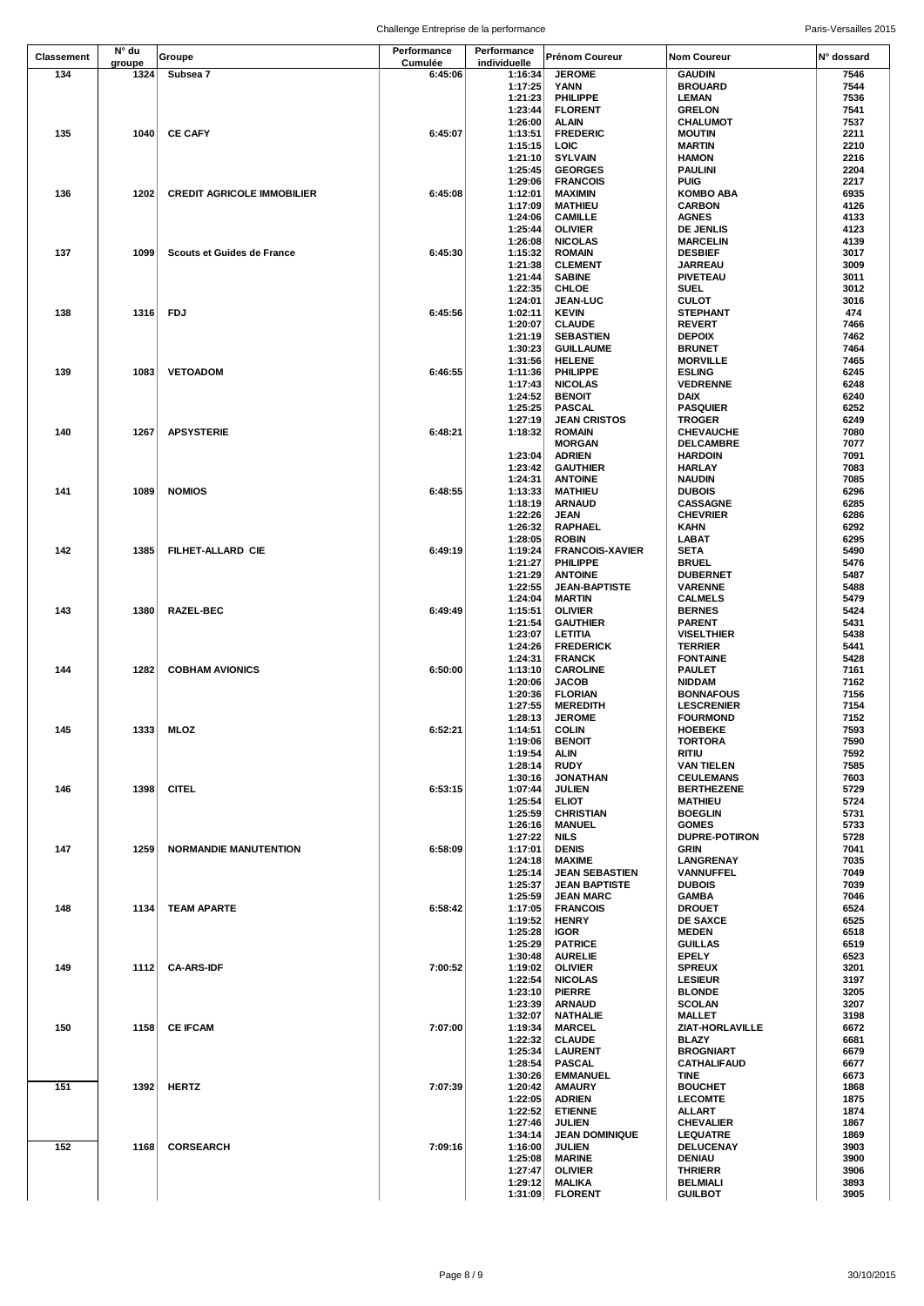| <b>Classement</b> | N° du  | Groupe                            | Performance | Performance  | Prénom Coureur         | <b>Nom Coureur</b>   | N° dossard |
|-------------------|--------|-----------------------------------|-------------|--------------|------------------------|----------------------|------------|
|                   | groupe |                                   | Cumulée     | individuelle |                        |                      |            |
| 134               | 1324   | Subsea 7                          | 6:45:06     | 1:16:34      | <b>JEROME</b>          | <b>GAUDIN</b>        | 7546       |
|                   |        |                                   |             | 1:17:25      | YANN                   | <b>BROUARD</b>       | 7544       |
|                   |        |                                   |             | 1:21:23      | PHILIPPE               | LEMAN                | 7536       |
|                   |        |                                   |             | 1:23:44      | <b>FLORENT</b>         | <b>GRELON</b>        | 7541       |
|                   |        |                                   |             | 1:26:00      | <b>ALAIN</b>           | <b>CHALUMOT</b>      | 7537       |
| 135               | 1040   | <b>CE CAFY</b>                    | 6:45:07     | 1:13:51      | <b>FREDERIC</b>        | <b>MOUTIN</b>        | 2211       |
|                   |        |                                   |             | 1:15:15      | LOIC                   | <b>MARTIN</b>        | 2210       |
|                   |        |                                   |             | 1:21:10      | <b>SYLVAIN</b>         | <b>HAMON</b>         | 2216       |
|                   |        |                                   |             | 1:25:45      | <b>GEORGES</b>         | PAULINI              | 2204       |
|                   |        |                                   |             | 1:29:06      | <b>FRANCOIS</b>        | <b>PUIG</b>          | 2217       |
| 136               | 1202   | <b>CREDIT AGRICOLE IMMOBILIER</b> | 6:45:08     | 1:12:01      | <b>MAXIMIN</b>         | <b>KOMBO ABA</b>     | 6935       |
|                   |        |                                   |             |              | <b>MATHIEU</b>         |                      | 4126       |
|                   |        |                                   |             | 1:17:09      |                        | <b>CARBON</b>        |            |
|                   |        |                                   |             | 1:24:06      | <b>CAMILLE</b>         | <b>AGNES</b>         | 4133       |
|                   |        |                                   |             | 1:25:44      | <b>OLIVIER</b>         | <b>DE JENLIS</b>     | 4123       |
|                   |        |                                   |             | 1:26:08      | <b>NICOLAS</b>         | <b>MARCELIN</b>      | 4139       |
| 137               | 1099   | <b>Scouts et Guides de France</b> | 6:45:30     | 1:15:32      | <b>ROMAIN</b>          | <b>DESBIEF</b>       | 3017       |
|                   |        |                                   |             | 1:21:38      | <b>CLEMENT</b>         | <b>JARREAU</b>       | 3009       |
|                   |        |                                   |             | 1:21:44      | <b>SABINE</b>          | <b>PIVETEAU</b>      | 3011       |
|                   |        |                                   |             | 1:22:35      | <b>CHLOE</b>           | SUEL                 | 3012       |
|                   |        |                                   |             | 1:24:01      | <b>JEAN-LUC</b>        | <b>CULOT</b>         | 3016       |
| 138               |        | 1316 FDJ                          | 6:45:56     | 1:02:11      | <b>KEVIN</b>           | <b>STEPHANT</b>      | 474        |
|                   |        |                                   |             | 1:20:07      | <b>CLAUDE</b>          | <b>REVERT</b>        | 7466       |
|                   |        |                                   |             | 1:21:19      | <b>SEBASTIEN</b>       | <b>DEPOIX</b>        | 7462       |
|                   |        |                                   |             | 1:30:23      | <b>GUILLAUME</b>       | <b>BRUNET</b>        | 7464       |
|                   |        |                                   |             | 1:31:56      | <b>HELENE</b>          | <b>MORVILLE</b>      | 7465       |
| 139               | 1083   | <b>VETOADOM</b>                   | 6:46:55     | 1:11:36      | <b>PHILIPPE</b>        | <b>ESLING</b>        | 6245       |
|                   |        |                                   |             | 1:17:43      | <b>NICOLAS</b>         | <b>VEDRENNE</b>      | 6248       |
|                   |        |                                   |             | 1:24:52      | <b>BENOIT</b>          | DAIX                 | 6240       |
|                   |        |                                   |             | 1:25:25      | <b>PASCAL</b>          | <b>PASQUIER</b>      | 6252       |
|                   |        |                                   |             | 1:27:19      | <b>JEAN CRISTOS</b>    | <b>TROGER</b>        | 6249       |
| 140               | 1267   | <b>APSYSTERIE</b>                 | 6:48:21     | 1:18:32      | <b>ROMAIN</b>          | CHEVAUCHE            | 7080       |
|                   |        |                                   |             |              |                        |                      |            |
|                   |        |                                   |             |              | <b>MORGAN</b>          | <b>DELCAMBRE</b>     | 7077       |
|                   |        |                                   |             | 1:23:04      | <b>ADRIEN</b>          | <b>HARDOIN</b>       | 7091       |
|                   |        |                                   |             | 1:23:42      | <b>GAUTHIER</b>        | HARLAY               | 7083       |
|                   |        |                                   |             | 1:24:31      | <b>ANTOINE</b>         | <b>NAUDIN</b>        | 7085       |
| 141               | 1089   | <b>NOMIOS</b>                     | 6:48:55     | 1:13:33      | <b>MATHIEU</b>         | <b>DUBOIS</b>        | 6296       |
|                   |        |                                   |             | 1:18:19      | <b>ARNAUD</b>          | <b>CASSAGNE</b>      | 6285       |
|                   |        |                                   |             | 1:22:26      | <b>JEAN</b>            | <b>CHEVRIER</b>      | 6286       |
|                   |        |                                   |             | 1:26:32      | <b>RAPHAEL</b>         | KAHN                 | 6292       |
|                   |        |                                   |             | 1:28:05      | <b>ROBIN</b>           | LABAT                | 6295       |
| 142               | 1385   | FILHET-ALLARD CIE                 | 6:49:19     | 1:19:24      | <b>FRANCOIS-XAVIER</b> | SETA                 | 5490       |
|                   |        |                                   |             | 1:21:27      | PHILIPPE               | <b>BRUEL</b>         | 5476       |
|                   |        |                                   |             | 1:21:29      | <b>ANTOINE</b>         | <b>DUBERNET</b>      | 5487       |
|                   |        |                                   |             | 1:22:55      | <b>JEAN-BAPTISTE</b>   | <b>VARENNE</b>       | 5488       |
|                   |        |                                   |             | 1:24:04      | <b>MARTIN</b>          | <b>CALMELS</b>       | 5479       |
| 143               | 1380   | <b>RAZEL-BEC</b>                  | 6:49:49     |              |                        |                      |            |
|                   |        |                                   |             | 1:15:51      | <b>OLIVIER</b>         | <b>BERNES</b>        | 5424       |
|                   |        |                                   |             | 1:21:54      | <b>GAUTHIER</b>        | PARENT               | 5431       |
|                   |        |                                   |             | 1:23:07      | <b>LETITIA</b>         | <b>VISELTHIER</b>    | 5438       |
|                   |        |                                   |             | 1:24:26      | <b>FREDERICK</b>       | <b>TERRIER</b>       | 5441       |
|                   |        |                                   |             | 1:24:31      | <b>FRANCK</b>          | <b>FONTAINE</b>      | 5428       |
| 144               | 1282   | <b>COBHAM AVIONICS</b>            | 6:50:00     | 1:13:10      | <b>CAROLINE</b>        | PAULET               | 7161       |
|                   |        |                                   |             | 1:20:06      | <b>JACOB</b>           | <b>NIDDAM</b>        | 7162       |
|                   |        |                                   |             | 1:20:36      | <b>FLORIAN</b>         | <b>BONNAFOUS</b>     | 7156       |
|                   |        |                                   |             | 1:27:55      | <b>MEREDITH</b>        | <b>LESCRENIER</b>    | 7154       |
|                   |        |                                   |             | 1:28:13      | <b>JEROME</b>          | <b>FOURMOND</b>      | 7152       |
| 145               |        | 1333 MLOZ                         | 6:52:21     | 1:14:51      | <b>COLIN</b>           | <b>HOEBEKE</b>       | 7593       |
|                   |        |                                   |             | 1:19:06      | <b>BENOIT</b>          | <b>TORTORA</b>       | 7590       |
|                   |        |                                   |             | 1:19:54      | ALIN                   | ritiu                | 7592       |
|                   |        |                                   |             | 1:28:14      | <b>RUDY</b>            | VAN TIELEN           | 7585       |
|                   |        |                                   |             | 1:30:16      | <b>JONATHAN</b>        | <b>CEULEMANS</b>     | 7603       |
| 146               | 1398   | <b>CITEL</b>                      | 6:53:15     | 1:07:44      | <b>JULIEN</b>          | <b>BERTHEZENE</b>    | 5729       |
|                   |        |                                   |             |              |                        |                      |            |
|                   |        |                                   |             | 1:25:54      | <b>ELIOT</b>           | <b>MATHIEU</b>       | 5724       |
|                   |        |                                   |             | 1:25:59      | <b>CHRISTIAN</b>       | <b>BOEGLIN</b>       | 5731       |
|                   |        |                                   |             | 1:26:16      | <b>MANUEL</b>          | <b>GOMES</b>         | 5733       |
|                   |        |                                   |             | 1:27:22      | NILS                   | <b>DUPRE-POTIRON</b> | 5728       |
| 147               | 1259   | <b>NORMANDIE MANUTENTION</b>      | 6:58:09     | 1:17:01      | <b>DENIS</b>           | GRIN                 | 7041       |
|                   |        |                                   |             | 1:24:18      | <b>MAXIME</b>          | <b>LANGRENAY</b>     | 7035       |
|                   |        |                                   |             | 1:25:14      | <b>JEAN SEBASTIEN</b>  | VANNUFFEL            | 7049       |
|                   |        |                                   |             | 1:25:37      | <b>JEAN BAPTISTE</b>   | <b>DUBOIS</b>        | 7039       |
|                   |        |                                   |             | 1:25:59      | <b>JEAN MARC</b>       | GAMBA                | 7046       |
| 148               | 1134   | <b>TEAM APARTE</b>                | 6:58:42     | 1:17:05      | <b>FRANCOIS</b>        | <b>DROUET</b>        | 6524       |
|                   |        |                                   |             | 1:19:52      | <b>HENRY</b>           | <b>DE SAXCE</b>      | 6525       |
|                   |        |                                   |             | 1:25:28      | <b>IGOR</b>            | <b>MEDEN</b>         | 6518       |
|                   |        |                                   |             | 1:25:29      | <b>PATRICE</b>         | <b>GUILLAS</b>       | 6519       |
|                   |        |                                   |             | 1:30:48      | <b>AURELIE</b>         | <b>EPELY</b>         | 6523       |
| 149               | 1112   | <b>CA-ARS-IDF</b>                 | 7:00:52     | 1:19:02      | <b>OLIVIER</b>         | <b>SPREUX</b>        | 3201       |
|                   |        |                                   |             | 1:22:54      | <b>NICOLAS</b>         | <b>LESIEUR</b>       | 3197       |
|                   |        |                                   |             | 1:23:10      | <b>PIERRE</b>          | <b>BLONDE</b>        | 3205       |
|                   |        |                                   |             | 1:23:39      | <b>ARNAUD</b>          | <b>SCOLAN</b>        | 3207       |
|                   |        |                                   |             | 1:32:07      | <b>NATHALIE</b>        | <b>MALLET</b>        | 3198       |
| 150               | 1158   | <b>CE IFCAM</b>                   | 7:07:00     | 1:19:34      | <b>MARCEL</b>          | ZIAT-HORLAVILLE      | 6672       |
|                   |        |                                   |             | 1:22:32      |                        | <b>BLAZY</b>         | 6681       |
|                   |        |                                   |             |              | <b>CLAUDE</b>          |                      |            |
|                   |        |                                   |             | 1:25:34      | <b>LAURENT</b>         | <b>BROGNIART</b>     | 6679       |
|                   |        |                                   |             | 1:28:54      | <b>PASCAL</b>          | CATHALIFAUD          | 6677       |
|                   |        |                                   |             | 1:30:26      | <b>EMMANUEL</b>        | TINE                 | 6673       |
| 151               | 1392   | <b>HERTZ</b>                      | 7:07:39     | 1:20:42      | <b>AMAURY</b>          | <b>BOUCHET</b>       | 1868       |
|                   |        |                                   |             | 1:22:05      | <b>ADRIEN</b>          | <b>LECOMTE</b>       | 1875       |
|                   |        |                                   |             | 1:22:52      | <b>ETIENNE</b>         | ALLART               | 1874       |
|                   |        |                                   |             | 1:27:46      | <b>JULIEN</b>          | <b>CHEVALIER</b>     | 1867       |
|                   |        |                                   |             | 1:34:14      | <b>JEAN DOMINIQUE</b>  | LEQUATRE             | 1869       |
| 152               | 1168   | <b>CORSEARCH</b>                  | 7:09:16     | 1:16:00      | <b>JULIEN</b>          | DELUCENAY            | 3903       |
|                   |        |                                   |             | 1:25:08      | <b>MARINE</b>          | DENIAU               | 3900       |
|                   |        |                                   |             | 1:27:47      | <b>OLIVIER</b>         | <b>THRIERR</b>       | 3906       |
|                   |        |                                   |             | 1:29:12      | <b>MALIKA</b>          | BELMIALI             | 3893       |
|                   |        |                                   |             | 1:31:09      | <b>FLORENT</b>         | <b>GUILBOT</b>       | 3905       |
|                   |        |                                   |             |              |                        |                      |            |